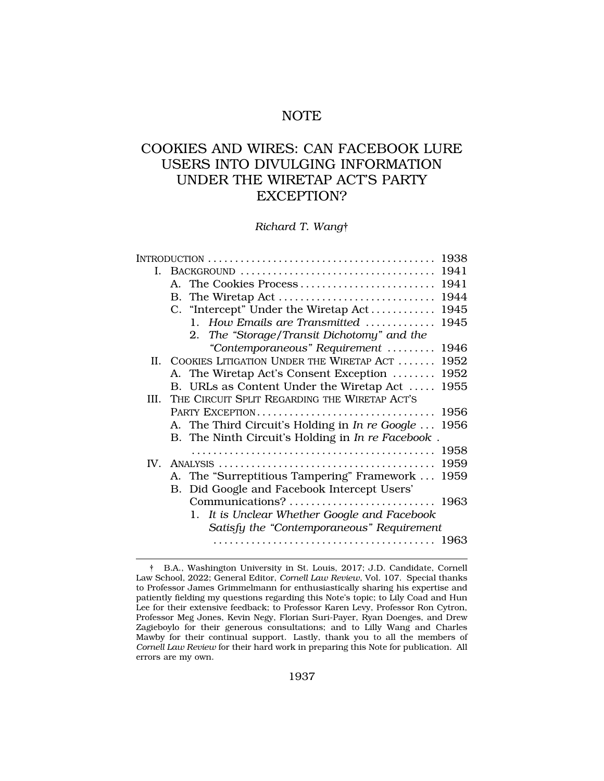# NOTE

# COOKIES AND WIRES: CAN FACEBOOK LURE USERS INTO DIVULGING INFORMATION UNDER THE WIRETAP ACT'S PARTY EXCEPTION?

*Richard T. Wang*†

|                                                   | 1938                                        |
|---------------------------------------------------|---------------------------------------------|
|                                                   | 1941                                        |
| A. The Cookies Process                            | 1941                                        |
|                                                   | 1944                                        |
| C. "Intercept" Under the Wiretap Act              | 1945                                        |
| 1. How Emails are Transmitted                     | 1945                                        |
| 2. The "Storage/Transit Dichotomy" and the        |                                             |
| "Contemporaneous" Requirement                     | 1946                                        |
| II. COOKIES LITIGATION UNDER THE WIRETAP ACT      | 1952                                        |
| A. The Wiretap Act's Consent Exception            | 1952                                        |
| B. URLs as Content Under the Wiretap Act          | 1955                                        |
| THE CIRCUIT SPLIT REGARDING THE WIRETAP ACT'S     |                                             |
| PARTY EXCEPTION                                   | 1956                                        |
| A. The Third Circuit's Holding in In re Google    | 1956                                        |
| B. The Ninth Circuit's Holding in In re Facebook. |                                             |
|                                                   | 1958                                        |
| IV.                                               | 1959                                        |
| A. The "Surreptitious Tampering" Framework        | 1959                                        |
|                                                   |                                             |
|                                                   |                                             |
| It is Unclear Whether Google and Facebook<br>1.   |                                             |
| Satisfy the "Contemporaneous" Requirement         |                                             |
|                                                   |                                             |
|                                                   | B. Did Google and Facebook Intercept Users' |

<sup>†</sup> B.A., Washington University in St. Louis, 2017; J.D. Candidate, Cornell Law School, 2022; General Editor, *Cornell Law Review*, Vol. 107. Special thanks to Professor James Grimmelmann for enthusiastically sharing his expertise and patiently fielding my questions regarding this Note's topic; to Lily Coad and Hun Lee for their extensive feedback; to Professor Karen Levy, Professor Ron Cytron, Professor Meg Jones, Kevin Negy, Florian Suri-Payer, Ryan Doenges, and Drew Zagieboylo for their generous consultations; and to Lilly Wang and Charles Mawby for their continual support. Lastly, thank you to all the members of *Cornell Law Review* for their hard work in preparing this Note for publication. All errors are my own.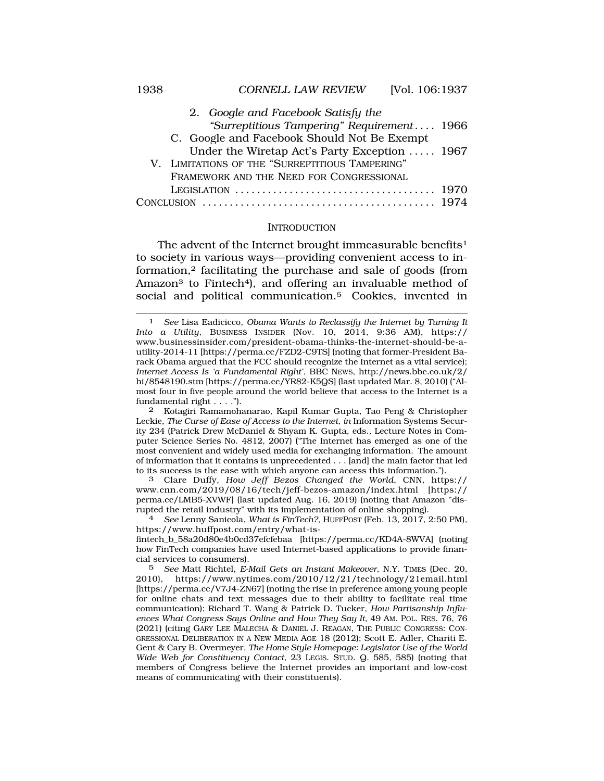<span id="page-1-0"></span>

| 2. Google and Facebook Satisfy the                                                              |  |
|-------------------------------------------------------------------------------------------------|--|
| "Surreptitious Tampering" Requirement 1966                                                      |  |
| C. Google and Facebook Should Not Be Exempt                                                     |  |
| Under the Wiretap Act's Party Exception  1967                                                   |  |
| V. LIMITATIONS OF THE "SURREPTITIOUS TAMPERING"                                                 |  |
| FRAMEWORK AND THE NEED FOR CONGRESSIONAL                                                        |  |
| LEGISLATION $\ldots \ldots \ldots \ldots \ldots \ldots \ldots \ldots \ldots \ldots \ldots$ 1970 |  |
|                                                                                                 |  |

#### **INTRODUCTION**

The advent of the Internet brought immeasurable benefits<sup>1</sup> to society in various ways—providing convenient access to information,2 facilitating the purchase and sale of goods (from Amazon<sup>3</sup> to Fintech<sup>4</sup>), and offering an invaluable method of social and political communication.5 Cookies, invented in

<sup>1</sup> *See* Lisa Eadicicco, *Obama Wants to Reclassify the Internet by Turning It Into a Utility*, BUSINESS INSIDER (Nov. 10, 2014, 9:36 AM), https:// <www.businessinsider.com/president-obama-thinks-the-internet-should-be-a>utility-2014-11 [<https://perma.cc/FZD2-C9TS>] (noting that former-President Barack Obama argued that the FCC should recognize the Internet as a vital service); *Internet Access Is 'a Fundamental Right'*, BBC NEWS, [http://news.bbc.co.uk/2/](http://news.bbc.co.uk/2) hi/8548190.stm [\[https://perma.cc/YR82-K5QS](https://perma.cc/YR82-K5QS)] (last updated Mar. 8, 2010) ("Almost four in five people around the world believe that access to the Internet is a fundamental right . . . .").

<sup>2</sup> Kotagiri Ramamohanarao, Kapil Kumar Gupta, Tao Peng & Christopher Leckie, *The Curse of Ease of Access to the Internet*, *in* Information Systems Security 234 (Patrick Drew McDaniel & Shyam K. Gupta, eds., Lecture Notes in Computer Science Series No. 4812, 2007) ("The Internet has emerged as one of the most convenient and widely used media for exchanging information. The amount of information that it contains is unprecedented . . . [and] the main factor that led to its success is the ease with which anyone can access this information.").

<sup>3</sup> Clare Duffy, *How Jeff Bezos Changed the World*, CNN, https:// <www.cnn.com/2019/08/16/tech/jeff-bezos-amazon/index.html> [https:// perma.cc/LMB5-XVWF] (last updated Aug. 16, 2019) (noting that Amazon "disrupted the retail industry" with its implementation of online shopping). 4 *See* Lenny Sanicola, *What is FinTech?*, HUFFPOST (Feb. 13, 2017, 2:50 PM),

<https://www.huffpost.com/entry/what-is>-

fintech\_b\_58a20d80e4b0cd37efcfebaa [[https://perma.cc/KD4A-8WVA\]](https://perma.cc/KD4A-8WVA) (noting how FinTech companies have used Internet-based applications to provide financial services to consumers).

<sup>5</sup> *See* Matt Richtel, *E-Mail Gets an Instant Makeover*, N.Y. TIMES (Dec. 20, 2010), <https://www.nytimes.com/2010/12/21/technology/21email.html> [[https://perma.cc/V7J4-ZN67\]](https://perma.cc/V7J4-ZN67) (noting the rise in preference among young people for online chats and text messages due to their ability to facilitate real time communication); Richard T. Wang & Patrick D. Tucker, *How Partisanship Influences What Congress Says Online and How They Say It*, 49 AM. POL. RES. 76, 76 (2021) (citing GARY LEE MALECHA & DANIEL J. REAGAN, THE PUBLIC CONGRESS: CON-GRESSIONAL DELIBERATION IN A NEW MEDIA AGE 18 (2012); Scott E. Adler, Chariti E. Gent & Cary B. Overmeyer, *The Home Style Homepage: Legislator Use of the World Wide Web for Constituency Contact*, 23 LEGIS. STUD. Q. 585, 585) (noting that members of Congress believe the Internet provides an important and low-cost means of communicating with their constituents).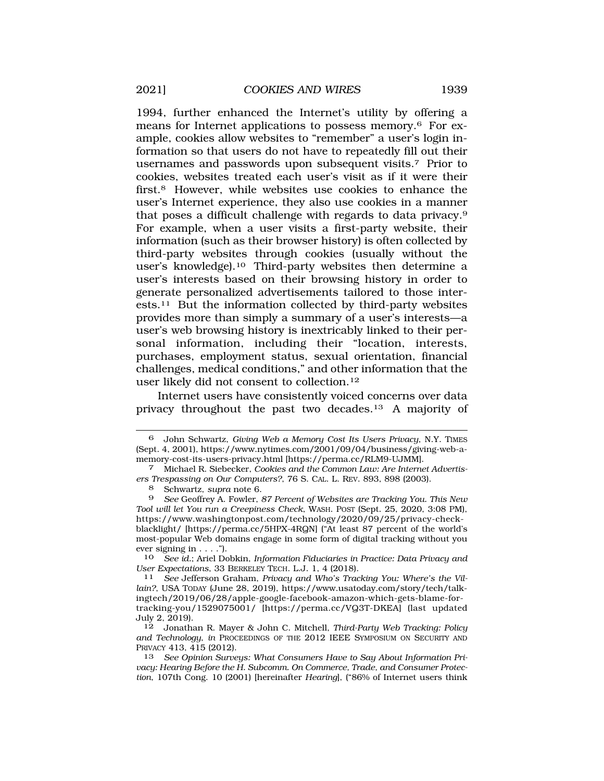1994, further enhanced the Internet's utility by offering a means for Internet applications to possess memory.6 For example, cookies allow websites to "remember" a user's login information so that users do not have to repeatedly fill out their usernames and passwords upon subsequent visits.7 Prior to cookies, websites treated each user's visit as if it were their first.8 However, while websites use cookies to enhance the user's Internet experience, they also use cookies in a manner that poses a difficult challenge with regards to data privacy.9 For example, when a user visits a first-party website, their information (such as their browser history) is often collected by third-party websites through cookies (usually without the user's [knowledge\).10](https://knowledge).10) Third-party websites then determine a user's interests based on their browsing history in order to generate personalized advertisements tailored to those interests.11 But the information collected by third-party websites provides more than simply a summary of a user's interests—a user's web browsing history is inextricably linked to their personal information, including their "location, interests, purchases, employment status, sexual orientation, financial challenges, medical conditions," and other information that the user likely did not consent to [collection.12](https://collection.12)

Internet users have consistently voiced concerns over data privacy throughout the past two [decades.13](https://decades.13) A majority of

10 *See id.*; Ariel Dobkin, *Information Fiduciaries in Practice: Data Privacy and User Expectations*, 33 BERKELEY TECH. L.J. 1, 4 (2018). 11 *See* Jefferson Graham, *Privacy and Who's Tracking You: Where's the Vil-*

*lain?*, USA TODAY (June 28, 2019), <https://www.usatoday.com/story/tech/talk>ingtech/2019/06/28/apple-google-facebook-amazon-which-gets-blame-fortracking-you/1529075001/ [<https://perma.cc/VQ3T-DKEA>] (last updated July 2, 2019).

12 Jonathan R. Mayer & John C. Mitchell, *Third-Party Web Tracking: Policy and Technology*, *in* PROCEEDINGS OF THE 2012 IEEE SYMPOSIUM ON SECURITY AND PRIVACY 413, 415 (2012).

13 *See Opinion Surveys: What Consumers Have to Say About Information Privacy: Hearing Before the H. Subcomm. On Commerce, Trade, and Consumer Protection*, 107th Cong. 10 (2001) [hereinafter *Hearing*], ("86% of Internet users think

<sup>6</sup> John Schwartz, *Giving Web a Memory Cost Its Users Privacy*, N.Y. TIMES (Sept. 4, 2001), <https://www.nytimes.com/2001/09/04/business/giving-web-a>memory-cost-its-users-privacy.html [\[https://perma.cc/RLM9-UJMM\]](https://perma.cc/RLM9-UJMM). 7 Michael R. Siebecker, *Cookies and the Common Law: Are Internet Advertis-*

*ers Trespassing on Our Computers?*, 76 S. CAL. L. REV. 893, 898 (2003).

<sup>8</sup> Schwartz, *supra* note 6.

<sup>9</sup> *See* Geoffrey A. Fowler, *87 Percent of Websites are Tracking You. This New Tool will let You run a Creepiness Check*, WASH. POST (Sept. 25, 2020, 3:08 PM), <https://www.washingtonpost.com/technology/2020/09/25/privacy-check>blacklight/ [\[https://perma.cc/5HPX-4RQN\]](https://perma.cc/5HPX-4RQN) ("At least 87 percent of the world's most-popular Web domains engage in some form of digital tracking without you ever signing in  $\dots$ .").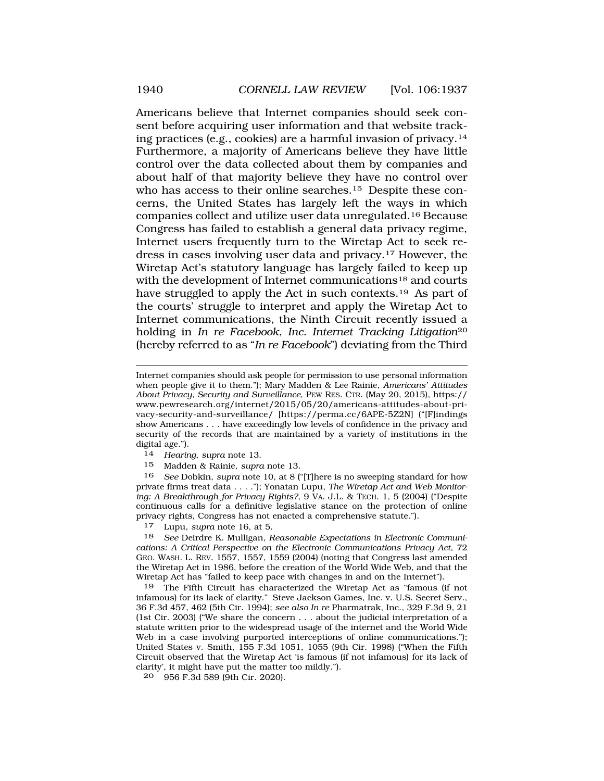Americans believe that Internet companies should seek consent before acquiring user information and that website tracking practices (e.g., cookies) are a harmful invasion of [privacy.14](https://privacy.14)  Furthermore, a majority of Americans believe they have little control over the data collected about them by companies and about half of that majority believe they have no control over who has access to their online searches.<sup>15</sup> Despite these concerns, the United States has largely left the ways in which companies collect and utilize user data [unregulated.16](https://unregulated.16) Because Congress has failed to establish a general data privacy regime, Internet users frequently turn to the Wiretap Act to seek redress in cases involving user data and [privacy.17](https://privacy.17) However, the Wiretap Act's statutory language has largely failed to keep up with the development of Internet communications<sup>18</sup> and courts have struggled to apply the Act in such contexts.<sup>19</sup> As part of the courts' struggle to interpret and apply the Wiretap Act to Internet communications, the Ninth Circuit recently issued a holding in *In re Facebook, Inc. Internet Tracking Litigation*<sup>20</sup> (hereby referred to as "*In re Facebook*") deviating from the Third

14 *Hearing*, *supra* note 13.

15 Madden & Rainie, *supra* note 13.

16 *See* Dobkin, *supra* note 10, at 8 ("[T]here is no sweeping standard for how private firms treat data . . . ."); Yonatan Lupu, *The Wiretap Act and Web Monitoring: A Breakthrough for Privacy Rights?*, 9 VA. J.L. & TECH. 1, 5 (2004) ("Despite continuous calls for a definitive legislative stance on the protection of online privacy rights, Congress has not enacted a comprehensive statute.").

17 Lupu, *supra* note 16, at 5.

18 *See* Deirdre K. Mulligan, *Reasonable Expectations in Electronic Communications: A Critical Perspective on the Electronic Communications Privacy Act*, 72 GEO. WASH. L. REV. 1557, 1557, 1559 (2004) (noting that Congress last amended the Wiretap Act in 1986, before the creation of the World Wide Web, and that the Wiretap Act has "failed to keep pace with changes in and on the Internet").

19 The Fifth Circuit has characterized the Wiretap Act as "famous (if not infamous) for its lack of clarity." Steve Jackson Games, Inc. v. U.S. Secret Serv., 36 F.3d 457, 462 (5th Cir. 1994); *see also In re* Pharmatrak, Inc., 329 F.3d 9, 21 (1st Cir. 2003) ("We share the concern . . . about the judicial interpretation of a statute written prior to the widespread usage of the internet and the World Wide Web in a case involving purported interceptions of online communications."); United States v. Smith, 155 F.3d 1051, 1055 (9th Cir. 1998) ("When the Fifth Circuit observed that the Wiretap Act 'is famous (if not infamous) for its lack of clarity', it might have put the matter too mildly.").

20 956 F.3d 589 (9th Cir. 2020).

Internet companies should ask people for permission to use personal information when people give it to them."); Mary Madden & Lee Rainie, *Americans' Attitudes About Privacy, Security and Surveillance*, PEW RES. CTR. (May 20, 2015), https:// <www.pewresearch.org/internet/2015/05/20/americans-attitudes-about-pri>vacy-security-and-surveillance/ [<https://perma.cc/6APE-5Z2N>] ("[F]indings show Americans . . . have exceedingly low levels of confidence in the privacy and security of the records that are maintained by a variety of institutions in the digital age.").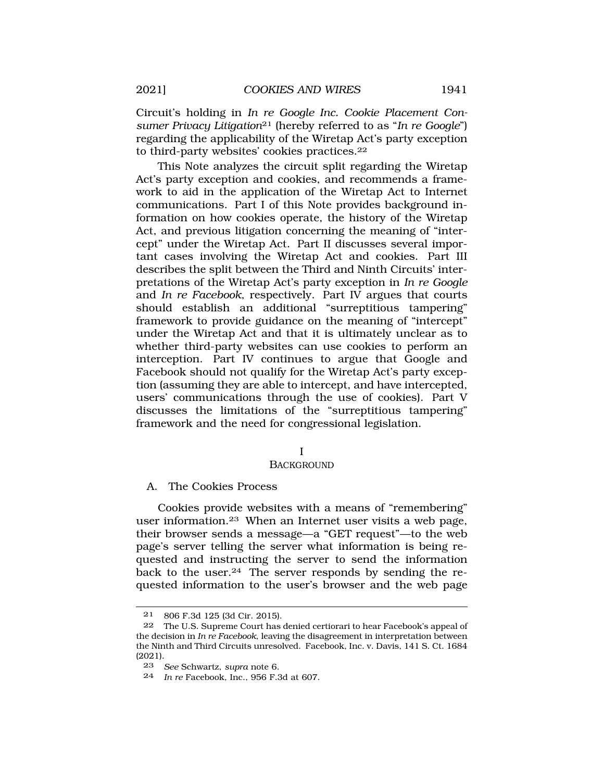<span id="page-4-0"></span>Circuit's holding in *In re Google Inc. Cookie Placement Consumer Privacy Litigation*21 (hereby referred to as "*In re Google*") regarding the applicability of the Wiretap Act's party exception to third-party websites' cookies [practices.22](https://practices.22)

This Note analyzes the circuit split regarding the Wiretap Act's party exception and cookies, and recommends a framework to aid in the application of the Wiretap Act to Internet communications. Part I of this Note provides background information on how cookies operate, the history of the Wiretap Act, and previous litigation concerning the meaning of "intercept" under the Wiretap Act. Part II discusses several important cases involving the Wiretap Act and cookies. Part III describes the split between the Third and Ninth Circuits' interpretations of the Wiretap Act's party exception in *In re Google*  and *In re Facebook*, respectively. Part IV argues that courts should establish an additional "surreptitious tampering" framework to provide guidance on the meaning of "intercept" under the Wiretap Act and that it is ultimately unclear as to whether third-party websites can use cookies to perform an interception. Part IV continues to argue that Google and Facebook should not qualify for the Wiretap Act's party exception (assuming they are able to intercept, and have intercepted, users' communications through the use of cookies). Part V discusses the limitations of the "surreptitious tampering" framework and the need for congressional legislation.

#### I

### **BACKGROUND**

### A. The Cookies Process

Cookies provide websites with a means of "remembering" user [information.23](https://information.23) When an Internet user visits a web page, their browser sends a message—a "GET request"—to the web page's server telling the server what information is being requested and instructing the server to send the information back to the user.<sup>24</sup> The server responds by sending the requested information to the user's browser and the web page

<sup>21 806</sup> F.3d 125 (3d Cir. 2015).

<sup>22</sup> The U.S. Supreme Court has denied certiorari to hear Facebook's appeal of the decision in *In re Facebook*, leaving the disagreement in interpretation between the Ninth and Third Circuits unresolved. Facebook, Inc. v. Davis, 141 S. Ct. 1684 (2021).

<sup>23</sup> *See* Schwartz, *supra* note 6.

<sup>24</sup> *In re* Facebook, Inc., 956 F.3d at 607.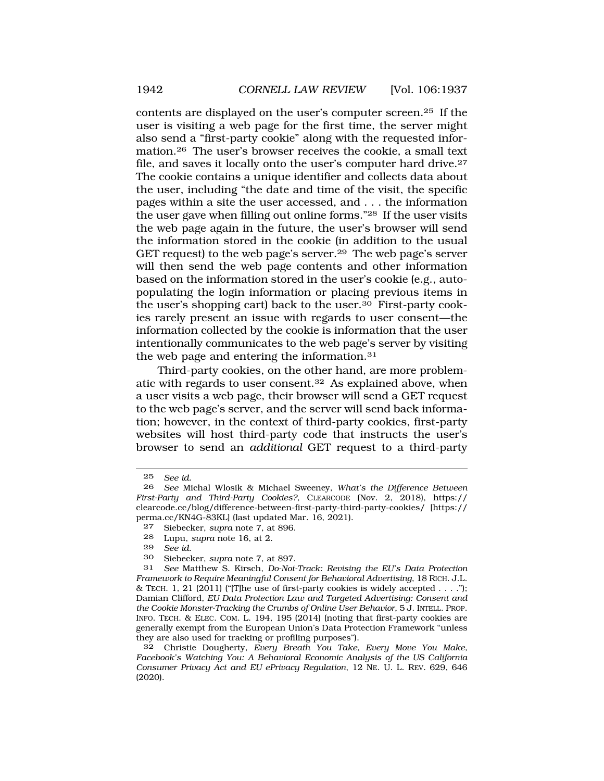contents are displayed on the user's computer [screen.25](https://screen.25) If the user is visiting a web page for the first time, the server might also send a "first-party cookie" along with the requested infor[mation.26](https://mation.26) The user's browser receives the cookie, a small text file, and saves it locally onto the user's computer hard [drive.27](https://drive.27)  The cookie contains a unique identifier and collects data about the user, including "the date and time of the visit, the specific pages within a site the user accessed, and . . . the information the user gave when filling out online forms."28 If the user visits the web page again in the future, the user's browser will send the information stored in the cookie (in addition to the usual GET request) to the web page's server.<sup>29</sup> The web page's server will then send the web page contents and other information based on the information stored in the user's cookie (e.g., autopopulating the login information or placing previous items in the user's shopping cart) back to the user.30 First-party cookies rarely present an issue with regards to user consent—the information collected by the cookie is information that the user intentionally communicates to the web page's server by visiting the web page and entering the [information.31](https://information.31)

Third-party cookies, on the other hand, are more problematic with regards to user [consent.32](https://consent.32) As explained above, when a user visits a web page, their browser will send a GET request to the web page's server, and the server will send back information; however, in the context of third-party cookies, first-party websites will host third-party code that instructs the user's browser to send an *additional* GET request to a third-party

- 27 Siebecker, *supra* note 7, at 896.
- 28 Lupu, *supra* note 16, at 2.<br>29 See id
- See *id.*

<sup>25</sup> *See id.* 

<sup>26</sup> *See* Michal Wlosik & Michael Sweeney, *What's the Difference Between First-Party and Third-Party Cookies?*, CLEARCODE (Nov. 2, 2018), https:// clearcode.cc/blog/difference-between-first-party-third-party-cookies/ [https:// perma.cc/KN4G-83KL] (last updated Mar. 16, 2021).<br>27 Siebecker sung note 7 at 896

<sup>30</sup> Siebecker, *supra* note 7, at 897.

<sup>31</sup> *See* Matthew S. Kirsch, *Do-Not-Track: Revising the EU's Data Protection Framework to Require Meaningful Consent for Behavioral Advertising*, 18 RICH. J.L. & TECH. 1, 21 (2011) ("[T]he use of first-party cookies is widely accepted  $\dots$ "); Damian Clifford, *EU Data Protection Law and Targeted Advertising: Consent and the Cookie Monster-Tracking the Crumbs of Online User Behavior*, 5 J. INTELL. PROP. INFO. TECH. & ELEC. COM. L. 194, 195 (2014) (noting that first-party cookies are generally exempt from the European Union's Data Protection Framework "unless they are also used for tracking or profiling purposes").

<sup>32</sup> Christie Dougherty, *Every Breath You Take, Every Move You Make, Facebook's Watching You: A Behavioral Economic Analysis of the US California Consumer Privacy Act and EU ePrivacy Regulation*, 12 NE. U. L. REV. 629, 646 (2020).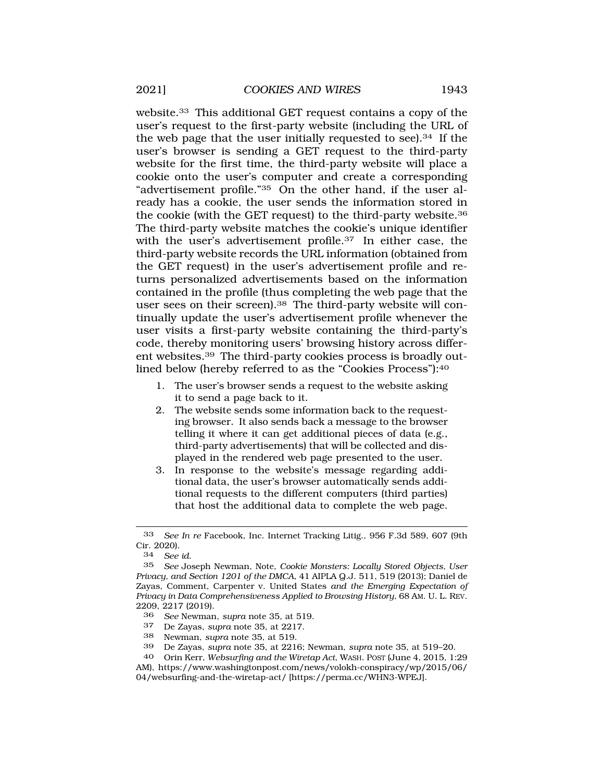[website.33](https://website.33) This additional GET request contains a copy of the user's request to the first-party website (including the URL of the web page that the user initially requested to see).34 If the user's browser is sending a GET request to the third-party website for the first time, the third-party website will place a cookie onto the user's computer and create a corresponding "advertisement profile."35 On the other hand, if the user already has a cookie, the user sends the information stored in the cookie (with the GET request) to the third-party [website.36](https://website.36)  The third-party website matches the cookie's unique identifier with the user's advertisement profile.<sup>37</sup> In either case, the third-party website records the URL information (obtained from the GET request) in the user's advertisement profile and returns personalized advertisements based on the information contained in the profile (thus completing the web page that the user sees on their screen).<sup>38</sup> The third-party website will continually update the user's advertisement profile whenever the user visits a first-party website containing the third-party's code, thereby monitoring users' browsing history across different [websites.39](https://websites.39) The third-party cookies process is broadly outlined below (hereby referred to as the "Cookies Process"):40

- 1. The user's browser sends a request to the website asking it to send a page back to it.
- 2. The website sends some information back to the requesting browser. It also sends back a message to the browser telling it where it can get additional pieces of data (e.g., third-party advertisements) that will be collected and displayed in the rendered web page presented to the user.
- 3. In response to the website's message regarding additional data, the user's browser automatically sends additional requests to the different computers (third parties) that host the additional data to complete the web page.

- 37 De Zayas, *supra* note 35, at 2217.
- 38 Newman, *supra* note 35, at 519.
- 39 De Zayas, *supra* note 35, at 2216; Newman, *supra* note 35, at 519–20.

<sup>33</sup> *See In re* Facebook, Inc. Internet Tracking Litig., 956 F.3d 589, 607 (9th Cir. 2020).

<sup>34</sup> *See id.* 

<sup>35</sup> *See* Joseph Newman, Note, *Cookie Monsters: Locally Stored Objects, User Privacy, and Section 1201 of the DMCA*, 41 AIPLA Q.J. 511, 519 (2013); Daniel de Zayas, Comment, Carpenter v. United States *and the Emerging Expectation of Privacy in Data Comprehensiveness Applied to Browsing History*, 68 AM. U. L. REV. 2209, 2217 (2019).

<sup>36</sup> *See* Newman, *supra* note 35, at 519.

<sup>40</sup> Orin Kerr, *Websurfing and the Wiretap Act*, WASH. POST (June 4, 2015, 1:29 AM), [https://www.washingtonpost.com/news/volokh-conspiracy/wp/2015/06/](https://www.washingtonpost.com/news/volokh-conspiracy/wp/2015/06)

<sup>04/</sup>websurfing-and-the-wiretap-act/ [[https://perma.cc/WHN3-WPEJ\]](https://perma.cc/WHN3-WPEJ).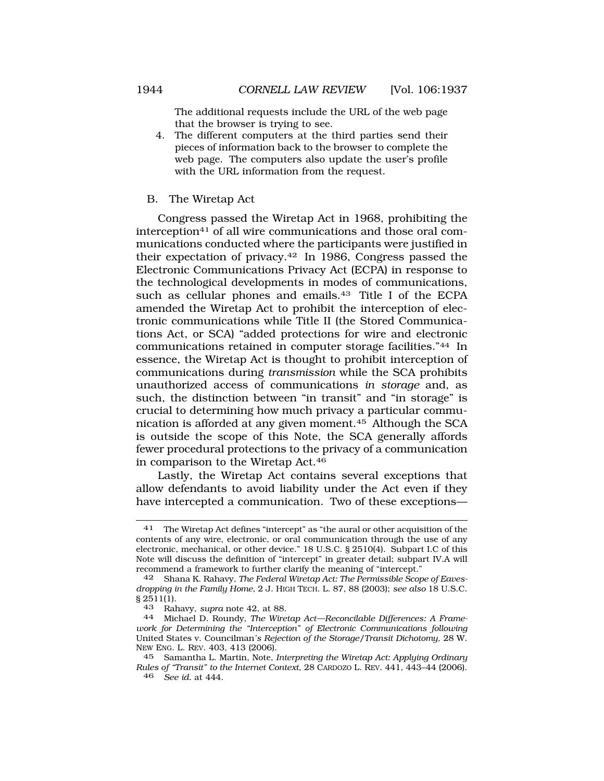The additional requests include the URL of the web page that the browser is trying to see.

- <span id="page-7-0"></span>4. The different computers at the third parties send their pieces of information back to the browser to complete the web page. The computers also update the user's profile with the URL information from the request.
- B. The Wiretap Act

Congress passed the Wiretap Act in 1968, prohibiting the interception41 of all wire communications and those oral communications conducted where the participants were justified in their expectation of [privacy.42](https://privacy.42) In 1986, Congress passed the Electronic Communications Privacy Act (ECPA) in response to the technological developments in modes of communications, such as cellular phones and emails.<sup>43</sup> Title I of the ECPA amended the Wiretap Act to prohibit the interception of electronic communications while Title II (the Stored Communications Act, or SCA) "added protections for wire and electronic communications retained in computer storage facilities."44 In essence, the Wiretap Act is thought to prohibit interception of communications during *transmission* while the SCA prohibits unauthorized access of communications *in storage* and, as such, the distinction between "in transit" and "in storage" is crucial to determining how much privacy a particular communication is afforded at any given [moment.45](https://moment.45) Although the SCA is outside the scope of this Note, the SCA generally affords fewer procedural protections to the privacy of a communication in comparison to the Wiretap Act.46

Lastly, the Wiretap Act contains several exceptions that allow defendants to avoid liability under the Act even if they have intercepted a communication. Two of these exceptions—

<sup>41</sup> The Wiretap Act defines "intercept" as "the aural or other acquisition of the contents of any wire, electronic, or oral communication through the use of any electronic, mechanical, or other device." 18 U.S.C. § 2510(4). Subpart I.C of this Note will discuss the definition of "intercept" in greater detail; subpart IV.A will recommend a framework to further clarify the meaning of "intercept."

<sup>42</sup> Shana K. Rahavy, *The Federal Wiretap Act: The Permissible Scope of Eavesdropping in the Family Home*, 2 J. HIGH TECH. L. 87, 88 (2003); *see also* 18 U.S.C.  $\frac{2511(1)}{43}$ 

<sup>43</sup> Rahavy, *supra* note 42, at 88. 44 Michael D. Roundy, *The Wiretap Act—Reconcilable Differences: A Framework for Determining the "Interception" of Electronic Communications following* United States v. Councilman*'s Rejection of the Storage/Transit Dichotomy*, 28 W. NEW ENG. L. REV. 403, 413 (2006).

<sup>45</sup> Samantha L. Martin, Note, *Interpreting the Wiretap Act: Applying Ordinary Rules of "Transit" to the Internet Context*, 28 CARDOZO L. REV. 441, 443–44 (2006). 46 *See id.* at 444.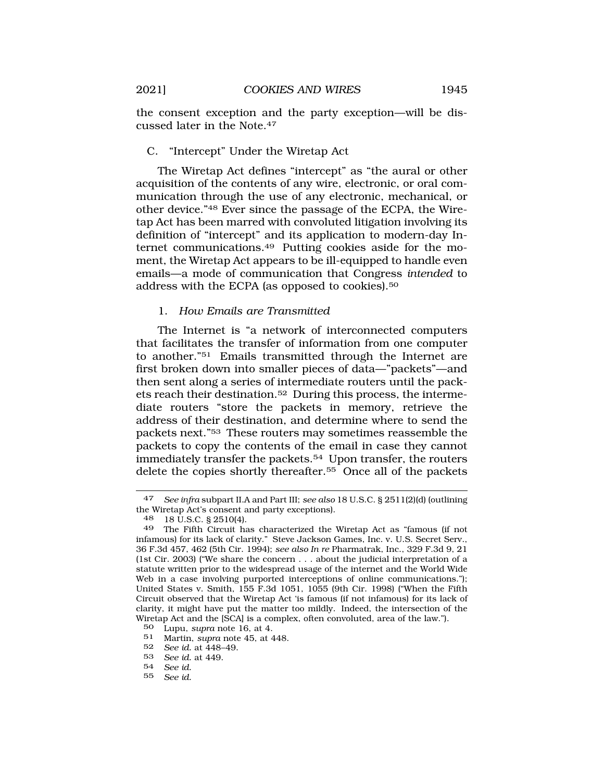<span id="page-8-0"></span>the consent exception and the party exception—will be discussed later in the Note.47

C. "Intercept" Under the Wiretap Act

The Wiretap Act defines "intercept" as "the aural or other acquisition of the contents of any wire, electronic, or oral communication through the use of any electronic, mechanical, or other device."48 Ever since the passage of the ECPA, the Wiretap Act has been marred with convoluted litigation involving its definition of "intercept" and its application to modern-day Internet [communications.49](https://communications.49) Putting cookies aside for the moment, the Wiretap Act appears to be ill-equipped to handle even emails—a mode of communication that Congress *intended* to address with the ECPA (as opposed to [cookies\).50](https://cookies).50)

# 1. *How Emails are Transmitted*

The Internet is "a network of interconnected computers that facilitates the transfer of information from one computer to another."51 Emails transmitted through the Internet are first broken down into smaller pieces of data—"packets"—and then sent along a series of intermediate routers until the packets reach their [destination.52](https://destination.52) During this process, the intermediate routers "store the packets in memory, retrieve the address of their destination, and determine where to send the packets next."53 These routers may sometimes reassemble the packets to copy the contents of the email in case they cannot immediately transfer the [packets.54](https://packets.54) Upon transfer, the routers delete the copies shortly [thereafter.55](https://thereafter.55) Once all of the packets

- 54 *See id.*
- 55 *See id.*

<sup>47</sup> *See infra* subpart II.A and Part III; *see also* 18 U.S.C. § 2511(2)(d) (outlining the Wiretap Act's consent and party exceptions).

<sup>48 18</sup> U.S.C. § 2510(4).

<sup>49</sup> The Fifth Circuit has characterized the Wiretap Act as "famous (if not infamous) for its lack of clarity." Steve Jackson Games, Inc. v. U.S. Secret Serv., 36 F.3d 457, 462 (5th Cir. 1994); *see also In re* Pharmatrak, Inc., 329 F.3d 9, 21 (1st Cir. 2003) ("We share the concern . . . about the judicial interpretation of a statute written prior to the widespread usage of the internet and the World Wide Web in a case involving purported interceptions of online communications."); United States v. Smith, 155 F.3d 1051, 1055 (9th Cir. 1998) ("When the Fifth Circuit observed that the Wiretap Act 'is famous (if not infamous) for its lack of clarity, it might have put the matter too mildly. Indeed, the intersection of the Wiretap Act and the [SCA] is a complex, often convoluted, area of the law.").

<sup>50</sup> Lupu, *supra* note 16, at 4.

<sup>51</sup> Martin, *supra* note 45, at 448.

<sup>52</sup> *See id.* at 448–49.

<sup>53</sup> *See id.* at 449.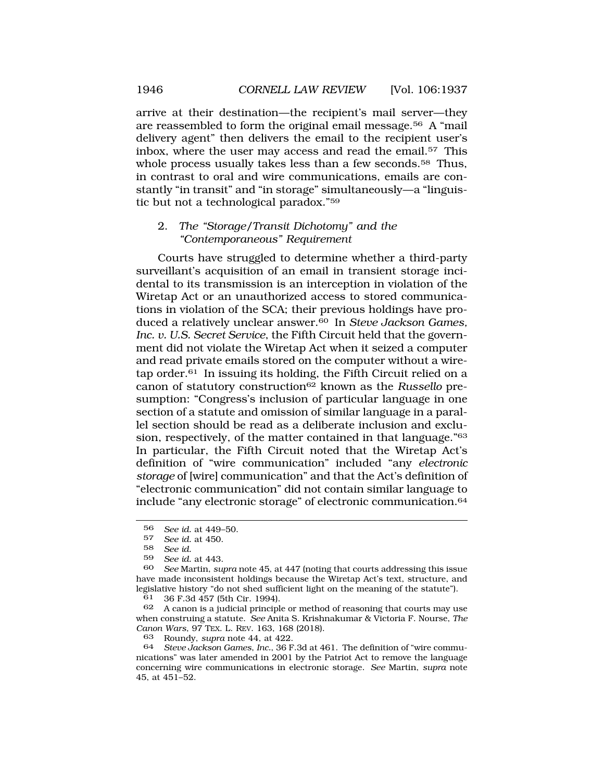arrive at their destination—the recipient's mail server—they are reassembled to form the original email [message.56](https://message.56) A "mail delivery agent" then delivers the email to the recipient user's inbox, where the user may access and read the [email.57](https://email.57) This whole process usually takes less than a few seconds.<sup>58</sup> Thus, in contrast to oral and wire communications, emails are constantly "in transit" and "in storage" simultaneously—a "linguistic but not a technological paradox."59

### 2. *The "Storage/Transit Dichotomy" and the "Contemporaneous" Requirement*

Courts have struggled to determine whether a third-party surveillant's acquisition of an email in transient storage incidental to its transmission is an interception in violation of the Wiretap Act or an unauthorized access to stored communications in violation of the SCA; their previous holdings have produced a relatively unclear [answer.60](https://answer.60) In *Steve Jackson Games, Inc. v. U.S. Secret Service*, the Fifth Circuit held that the government did not violate the Wiretap Act when it seized a computer and read private emails stored on the computer without a wiretap order. $61$  In issuing its holding, the Fifth Circuit relied on a canon of statutory construction62 known as the *Russello* presumption: "Congress's inclusion of particular language in one section of a statute and omission of similar language in a parallel section should be read as a deliberate inclusion and exclusion, respectively, of the matter contained in that language."63 In particular, the Fifth Circuit noted that the Wiretap Act's definition of "wire communication" included "any *electronic storage* of [wire] communication" and that the Act's definition of "electronic communication" did not contain similar language to include "any electronic storage" of electronic [communication.64](https://communication.64) 

<sup>56</sup> *See id.* at 449–50.

<sup>57</sup> *See id.* at 450.

<sup>58</sup> *See id.* 

<sup>59</sup> *See id.* at 443.

<sup>60</sup> *See* Martin, *supra* note 45, at 447 (noting that courts addressing this issue have made inconsistent holdings because the Wiretap Act's text, structure, and legislative history "do not shed sufficient light on the meaning of the statute").

<sup>61 36</sup> F.3d 457 (5th Cir. 1994).

<sup>62</sup> A canon is a judicial principle or method of reasoning that courts may use when construing a statute. *See* Anita S. Krishnakumar & Victoria F. Nourse, *The Canon Wars*, 97 TEX. L. REV. 163, 168 (2018).

<sup>63</sup> Roundy, *supra* note 44, at 422.

<sup>64</sup> *Steve Jackson Games*, *Inc.*, 36 F.3d at 461. The definition of "wire communications" was later amended in 2001 by the Patriot Act to remove the language concerning wire communications in electronic storage. *See* Martin, *supra* note 45, at 451–52.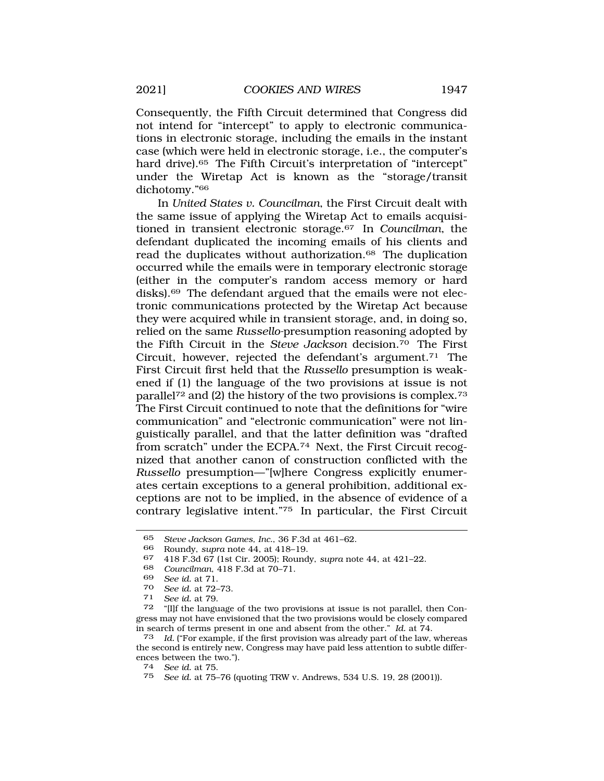Consequently, the Fifth Circuit determined that Congress did not intend for "intercept" to apply to electronic communications in electronic storage, including the emails in the instant case (which were held in electronic storage, i.e., the computer's hard drive).<sup>65</sup> The Fifth Circuit's interpretation of "intercept" under the Wiretap Act is known as the "storage/transit dichotomy."66

In *United States v. Councilman*, the First Circuit dealt with the same issue of applying the Wiretap Act to emails acquisitioned in transient electronic [storage.67](https://storage.67) In *Councilman*, the defendant duplicated the incoming emails of his clients and read the duplicates without authorization.<sup>68</sup> The duplication occurred while the emails were in temporary electronic storage (either in the computer's random access memory or hard [disks\).69](https://disks).69) The defendant argued that the emails were not electronic communications protected by the Wiretap Act because they were acquired while in transient storage, and, in doing so, relied on the same *Russello-*presumption reasoning adopted by the Fifth Circuit in the *Steve Jackson* [decision.70](https://decision.70) The First Circuit, however, rejected the defendant's argument.<sup>71</sup> The First Circuit first held that the *Russello* presumption is weakened if (1) the language of the two provisions at issue is not parallel72 and (2) the history of the two provisions is [complex.73](https://complex.73)  The First Circuit continued to note that the definitions for "wire communication" and "electronic communication" were not linguistically parallel, and that the latter definition was "drafted from scratch" under the ECPA.74 Next, the First Circuit recognized that another canon of construction conflicted with the *Russello* presumption—"[w]here Congress explicitly enumerates certain exceptions to a general prohibition, additional exceptions are not to be implied, in the absence of evidence of a contrary legislative intent."75 In particular, the First Circuit

<sup>65</sup> *Steve Jackson Games, Inc.*, 36 F.3d at 461–62.

<sup>66</sup> Roundy, *supra* note 44, at 418–19.

<sup>67 418</sup> F.3d 67 (1st Cir. 2005); Roundy, *supra* note 44, at 421–22.

<sup>68</sup> *Councilman*, 418 F.3d at 70–71.

<sup>69</sup> *See id.* at 71.

<sup>70</sup>*See id.* at 72–73. 71 *See id.* at 79.

<sup>72 &</sup>quot;[I]f the language of the two provisions at issue is not parallel, then Congress may not have envisioned that the two provisions would be closely compared in search of terms present in one and absent from the other." *Id.* at 74.

<sup>73</sup> *Id.* ("For example, if the first provision was already part of the law, whereas the second is entirely new, Congress may have paid less attention to subtle differences between the two.").

<sup>74</sup> *See id.* at 75.

<sup>75</sup> *See id.* at 75–76 (quoting TRW v. Andrews, 534 U.S. 19, 28 (2001)).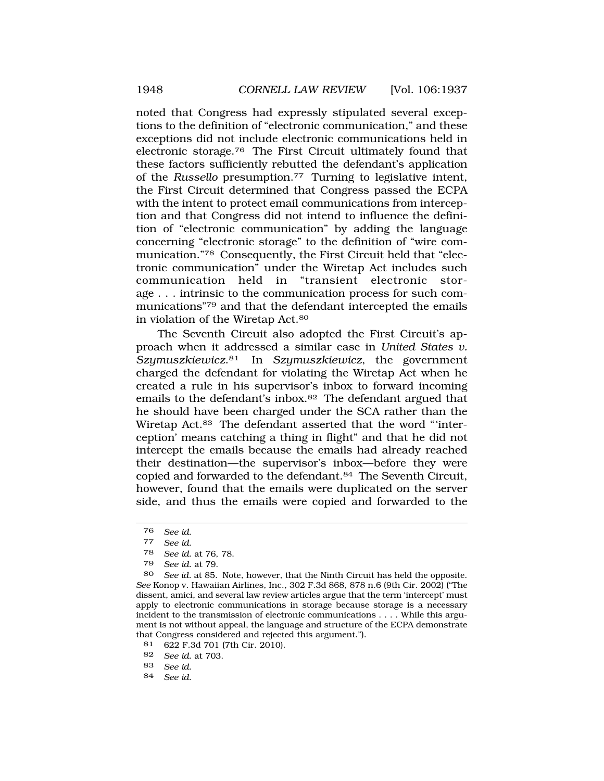noted that Congress had expressly stipulated several exceptions to the definition of "electronic communication," and these exceptions did not include electronic communications held in electronic [storage.76](https://storage.76) The First Circuit ultimately found that these factors sufficiently rebutted the defendant's application of the *Russello* [presumption.77](https://presumption.77) Turning to legislative intent, the First Circuit determined that Congress passed the ECPA with the intent to protect email communications from interception and that Congress did not intend to influence the definition of "electronic communication" by adding the language concerning "electronic storage" to the definition of "wire communication."78 Consequently, the First Circuit held that "electronic communication" under the Wiretap Act includes such communication held in "transient electronic storage . . . intrinsic to the communication process for such communications"79 and that the defendant intercepted the emails in violation of the Wiretap Act.80

The Seventh Circuit also adopted the First Circuit's approach when it addressed a similar case in *United States v. [Szymuszkiewicz](https://Szymuszkiewicz.81)*.81 In *Szymuszkiewicz*, the government charged the defendant for violating the Wiretap Act when he created a rule in his supervisor's inbox to forward incoming emails to the defendant's [inbox.82](https://inbox.82) The defendant argued that he should have been charged under the SCA rather than the Wiretap Act.83 The defendant asserted that the word "'interception' means catching a thing in flight" and that he did not intercept the emails because the emails had already reached their destination—the supervisor's inbox—before they were copied and forwarded to the [defendant.84](https://defendant.84) The Seventh Circuit, however, found that the emails were duplicated on the server side, and thus the emails were copied and forwarded to the

- 83 *See id.*
- 84 *See id.*

<sup>76</sup> *See id.* 

<sup>77</sup> *See id.* 

<sup>78</sup> *See id.* at 76, 78.

<sup>79</sup> *See id.* at 79.

<sup>80</sup> *See id.* at 85. Note, however, that the Ninth Circuit has held the opposite. *See* Konop v. Hawaiian Airlines, Inc., 302 F.3d 868, 878 n.6 (9th Cir. 2002) ("The dissent, amici, and several law review articles argue that the term 'intercept' must apply to electronic communications in storage because storage is a necessary incident to the transmission of electronic communications . . . . While this argument is not without appeal, the language and structure of the ECPA demonstrate that Congress considered and rejected this argument.").

<sup>81 622</sup> F.3d 701 (7th Cir. 2010).<br>82 See id at 703

<sup>82</sup> *See id.* at 703.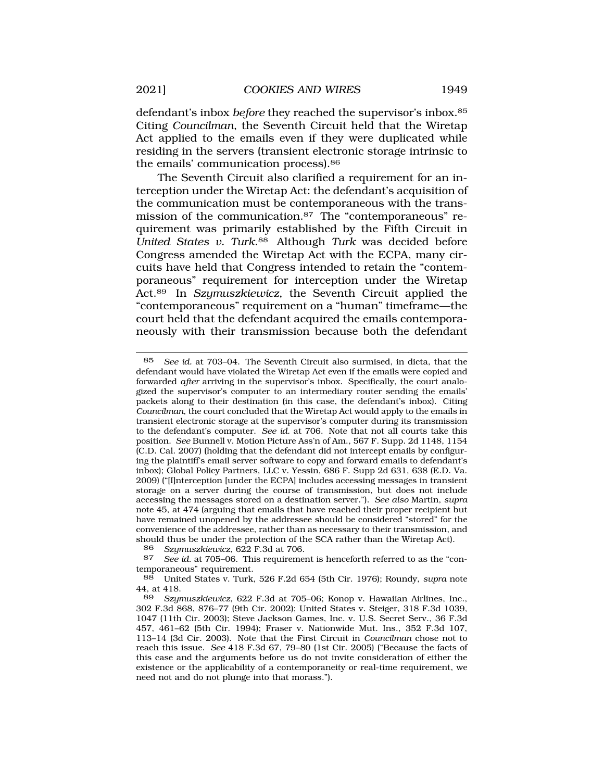defendant's inbox *before* they reached the supervisor's [inbox.85](https://inbox.85)  Citing *Councilman*, the Seventh Circuit held that the Wiretap Act applied to the emails even if they were duplicated while residing in the servers (transient electronic storage intrinsic to the emails' communication [process\).86](https://process).86) 

The Seventh Circuit also clarified a requirement for an interception under the Wiretap Act: the defendant's acquisition of the communication must be contemporaneous with the transmission of the [communication.87](https://communication.87) The "contemporaneous" requirement was primarily established by the Fifth Circuit in *United States v. Turk*.88 Although *Turk* was decided before Congress amended the Wiretap Act with the ECPA, many circuits have held that Congress intended to retain the "contemporaneous" requirement for interception under the Wiretap Act.89 In *Szymuszkiewicz*, the Seventh Circuit applied the "contemporaneous" requirement on a "human" timeframe—the court held that the defendant acquired the emails contemporaneously with their transmission because both the defendant

86 *Szymuszkiewicz*, 622 F.3d at 706.

See id. at 705–06. This requirement is henceforth referred to as the "contemporaneous" requirement.

<sup>85</sup> *See id.* at 703–04. The Seventh Circuit also surmised, in dicta, that the defendant would have violated the Wiretap Act even if the emails were copied and forwarded *after* arriving in the supervisor's inbox. Specifically, the court analogized the supervisor's computer to an intermediary router sending the emails' packets along to their destination (in this case, the defendant's inbox). Citing *Councilman*, the court concluded that the Wiretap Act would apply to the emails in transient electronic storage at the supervisor's computer during its transmission to the defendant's computer. *See id.* at 706. Note that not all courts take this position. *See* Bunnell v. Motion Picture Ass'n of Am., 567 F. Supp. 2d 1148, 1154 (C.D. Cal. 2007) (holding that the defendant did not intercept emails by configuring the plaintiff's email server software to copy and forward emails to defendant's inbox); Global Policy Partners, LLC v. Yessin, 686 F. Supp 2d 631, 638 (E.D. Va. 2009) ("[I]nterception [under the ECPA] includes accessing messages in transient storage on a server during the course of transmission, but does not include accessing the messages stored on a destination server."). *See also* Martin, *supra*  note 45, at 474 (arguing that emails that have reached their proper recipient but have remained unopened by the addressee should be considered "stored" for the convenience of the addressee, rather than as necessary to their transmission, and should thus be under the protection of the SCA rather than the Wiretap Act).<br>86 Szumuszkiewicz 622 F 3d at 706

<sup>88</sup> United States v. Turk, 526 F.2d 654 (5th Cir. 1976); Roundy, *supra* note 44, at 418.

<sup>89</sup> *Szymuszkiewicz*, 622 F.3d at 705–06; Konop v. Hawaiian Airlines, Inc., 302 F.3d 868, 876–77 (9th Cir. 2002); United States v. Steiger, 318 F.3d 1039, 1047 (11th Cir. 2003); Steve Jackson Games, Inc. v. U.S. Secret Serv., 36 F.3d 457, 461–62 (5th Cir. 1994); Fraser v. Nationwide Mut. Ins., 352 F.3d 107, 113–14 (3d Cir. 2003). Note that the First Circuit in *Councilman* chose not to reach this issue. *See* 418 F.3d 67, 79–80 (1st Cir. 2005) ("Because the facts of this case and the arguments before us do not invite consideration of either the existence or the applicability of a contemporaneity or real-time requirement, we need not and do not plunge into that morass.").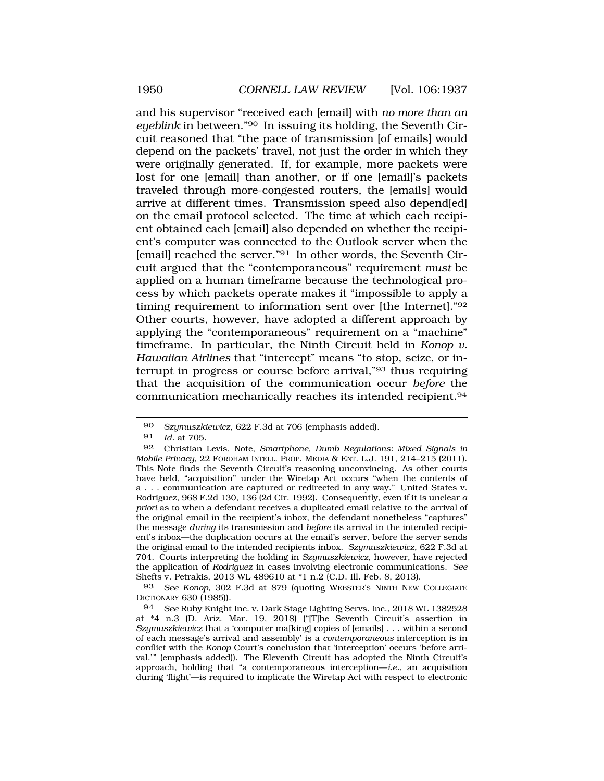and his supervisor "received each [email] with *no more than an eyeblink* in between."90 In issuing its holding, the Seventh Circuit reasoned that "the pace of transmission [of emails] would depend on the packets' travel, not just the order in which they were originally generated. If, for example, more packets were lost for one [email] than another, or if one [email]'s packets traveled through more-congested routers, the [emails] would arrive at different times. Transmission speed also depend[ed] on the email protocol selected. The time at which each recipient obtained each [email] also depended on whether the recipient's computer was connected to the Outlook server when the [email] reached the server."91 In other words, the Seventh Circuit argued that the "contemporaneous" requirement *must* be applied on a human timeframe because the technological process by which packets operate makes it "impossible to apply a timing requirement to information sent over [the Internet]."92 Other courts, however, have adopted a different approach by applying the "contemporaneous" requirement on a "machine" timeframe. In particular, the Ninth Circuit held in *Konop v. Hawaiian Airlines* that "intercept" means "to stop, seize, or interrupt in progress or course before arrival,"93 thus requiring that the acquisition of the communication occur *before* the communication mechanically reaches its intended [recipient.94](https://recipient.94)

93 *See Konop*, 302 F.3d at 879 (quoting WEBSTER'S NINTH NEW COLLEGIATE DICTIONARY 630 (1985)).

<sup>90</sup> *Szymuszkiewicz*, 622 F.3d at 706 (emphasis added).

<sup>91</sup> *Id.* at 705.

<sup>92</sup> Christian Levis, Note, *Smartphone, Dumb Regulations: Mixed Signals in Mobile Privacy*, 22 FORDHAM INTELL. PROP. MEDIA & ENT. L.J. 191, 214–215 (2011). This Note finds the Seventh Circuit's reasoning unconvincing. As other courts have held, "acquisition" under the Wiretap Act occurs "when the contents of a . . . communication are captured or redirected in any way." United States v. Rodriguez, 968 F.2d 130, 136 (2d Cir. 1992). Consequently, even if it is unclear *a priori* as to when a defendant receives a duplicated email relative to the arrival of the original email in the recipient's inbox, the defendant nonetheless "captures" the message *during* its transmission and *before* its arrival in the intended recipient's inbox—the duplication occurs at the email's server, before the server sends the original email to the intended recipients inbox. *Szymuszkiewicz*, 622 F.3d at 704. Courts interpreting the holding in *Szymuszkiewicz*, however, have rejected the application of *Rodriguez* in cases involving electronic communications. *See*  Shefts v. Petrakis, 2013 WL 489610 at \*1 n.2 (C.D. Ill. Feb. 8, 2013).

<sup>94</sup> *See* Ruby Knight Inc. v. Dark Stage Lighting Servs. Inc., 2018 WL 1382528 at \*4 n.3 (D. Ariz. Mar. 19, 2018) ("[T]he Seventh Circuit's assertion in *Szymuszkiewicz* that a 'computer ma[king] copies of [emails] . . . within a second of each message's arrival and assembly' is a *contemporaneous* interception is in conflict with the *Konop* Court's conclusion that 'interception' occurs 'before arrival.'" (emphasis added)). The Eleventh Circuit has adopted the Ninth Circuit's approach, holding that "a contemporaneous interception—*i.e.*, an acquisition during 'flight'—is required to implicate the Wiretap Act with respect to electronic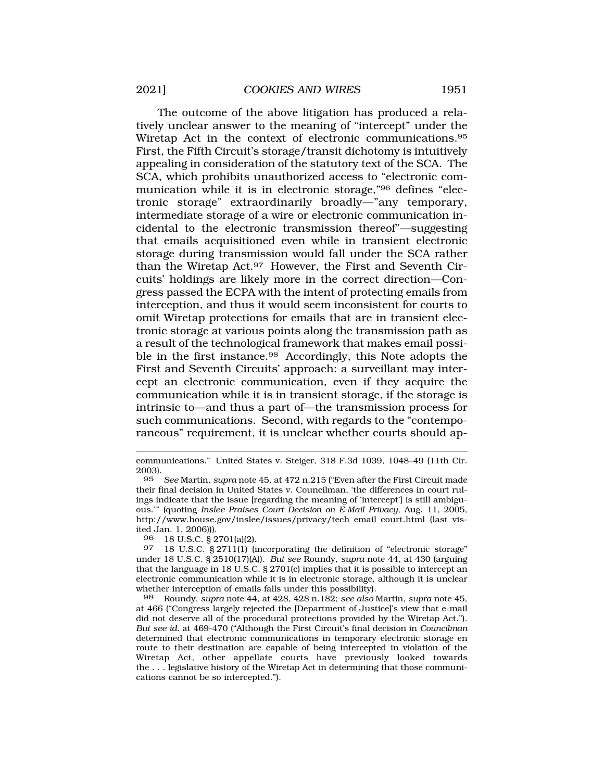The outcome of the above litigation has produced a relatively unclear answer to the meaning of "intercept" under the Wiretap Act in the context of electronic [communications.95](https://communications.95)  First, the Fifth Circuit's storage/transit dichotomy is intuitively appealing in consideration of the statutory text of the SCA. The SCA, which prohibits unauthorized access to "electronic communication while it is in electronic storage,"96 defines "electronic storage" extraordinarily broadly—"any temporary, intermediate storage of a wire or electronic communication incidental to the electronic transmission thereof"—suggesting that emails acquisitioned even while in transient electronic storage during transmission would fall under the SCA rather than the Wiretap Act.97 However, the First and Seventh Circuits' holdings are likely more in the correct direction—Congress passed the ECPA with the intent of protecting emails from interception, and thus it would seem inconsistent for courts to omit Wiretap protections for emails that are in transient electronic storage at various points along the transmission path as a result of the technological framework that makes email possible in the first [instance.98](https://instance.98) Accordingly, this Note adopts the First and Seventh Circuits' approach: a surveillant may intercept an electronic communication, even if they acquire the communication while it is in transient storage, if the storage is intrinsic to—and thus a part of—the transmission process for such communications. Second, with regards to the "contemporaneous" requirement, it is unclear whether courts should ap-

96 18 U.S.C. § 2701(a)(2).

98 Roundy, *supra* note 44, at 428, 428 n.182; *see also* Martin, *supra* note 45, at 466 ("Congress largely rejected the [Department of Justice]'s view that e-mail did not deserve all of the procedural protections provided by the Wiretap Act."). *But see id.* at 469-470 ("Although the First Circuit's final decision in *Councilman*  determined that electronic communications in temporary electronic storage en route to their destination are capable of being intercepted in violation of the Wiretap Act, other appellate courts have previously looked towards the . . . legislative history of the Wiretap Act in determining that those communications cannot be so intercepted.").

communications." United States v. Steiger, 318 F.3d 1039, 1048–49 (11th Cir. 2003).

<sup>95</sup> *See* Martin, *supra* note 45, at 472 n.215 ("Even after the First Circuit made their final decision in United States v. Councilman, 'the differences in court rulings indicate that the issue [regarding the meaning of 'intercept'] is still ambiguous.'" (quoting *Inslee Praises Court Decision on E-Mail Privacy*, Aug. 11, 2005, [http://www.house.gov/inslee/issues/privacy/tech\\_email\\_court.html](http://www.house.gov/inslee/issues/privacy/tech_email_court.html) (last visited Jan. 1, 2006))).

<sup>97 18</sup> U.S.C. § 2711(1) (incorporating the definition of "electronic storage" under 18 U.S.C. § 2510(17)(A)). *But see* Roundy, *supra* note 44, at 430 (arguing that the language in 18 U.S.C. § 2701(c) implies that it is possible to intercept an electronic communication while it is in electronic storage, although it is unclear whether interception of emails falls under this possibility).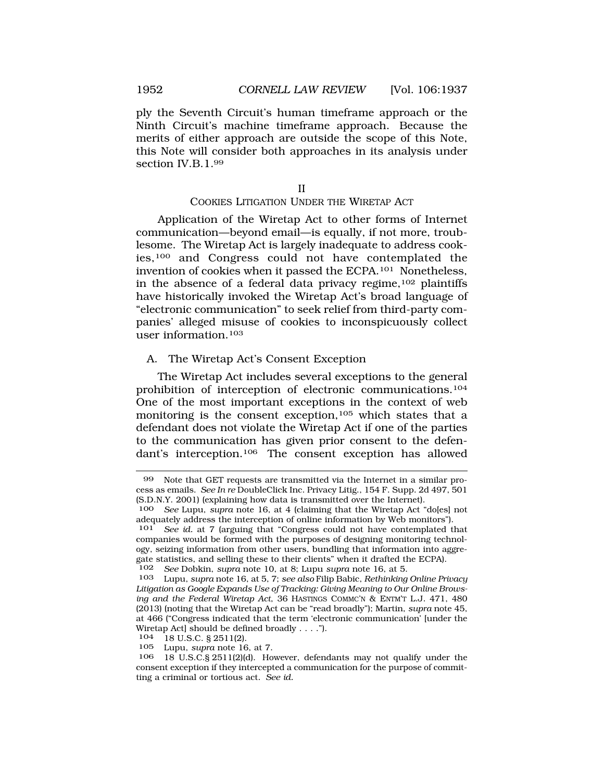<span id="page-15-0"></span>ply the Seventh Circuit's human timeframe approach or the Ninth Circuit's machine timeframe approach. Because the merits of either approach are outside the scope of this Note, this Note will consider both approaches in its analysis under section IV.B.1.99

II

#### COOKIES LITIGATION UNDER THE WIRETAP ACT

Application of the Wiretap Act to other forms of Internet communication—beyond email—is equally, if not more, troublesome. The Wiretap Act is largely inadequate to address cookies,100 and Congress could not have contemplated the invention of cookies when it passed the ECPA.101 Nonetheless, in the absence of a federal data privacy regime,  $102$  plaintiffs have historically invoked the Wiretap Act's broad language of "electronic communication" to seek relief from third-party companies' alleged misuse of cookies to inconspicuously collect user information.103

### A. The Wiretap Act's Consent Exception

The Wiretap Act includes several exceptions to the general prohibition of interception of electronic communications.104 One of the most important exceptions in the context of web monitoring is the consent exception,<sup>105</sup> which states that a defendant does not violate the Wiretap Act if one of the parties to the communication has given prior consent to the defendant's interception.106 The consent exception has allowed

<sup>99</sup> Note that GET requests are transmitted via the Internet in a similar process as emails. *See In re* DoubleClick Inc. Privacy Litig., 154 F. Supp. 2d 497, 501 (S.D.N.Y. 2001) (explaining how data is transmitted over the Internet).

<sup>100</sup> *See* Lupu, *supra* note 16, at 4 (claiming that the Wiretap Act "do[es] not adequately address the interception of online information by Web monitors").<br>101 See id. at 7 larguing that "Congress could not have contemplated the

See id. at 7 (arguing that "Congress could not have contemplated that companies would be formed with the purposes of designing monitoring technology, seizing information from other users, bundling that information into aggregate statistics, and selling these to their clients" when it drafted the ECPA).

<sup>102</sup> *See* Dobkin, *supra* note 10, at 8; Lupu *supra* note 16, at 5.

<sup>103</sup> Lupu, *supra* note 16, at 5, 7; *see also* Filip Babic, *Rethinking Online Privacy Litigation as Google Expands Use of Tracking: Giving Meaning to Our Online Browsing and the Federal Wiretap Act*, 36 HASTINGS COMMC'N & ENTM'T L.J. 471, 480 (2013) (noting that the Wiretap Act can be "read broadly"); Martin, *supra* note 45, at 466 ("Congress indicated that the term 'electronic communication' [under the Wiretap Act] should be defined broadly . . . .").

<sup>104 18</sup> U.S.C. § 2511(2).<br>105 - Lupu supra pote 16

Lupu, *supra* note 16, at 7.

<sup>106 18</sup> U.S.C.§ 2511(2)(d). However, defendants may not qualify under the consent exception if they intercepted a communication for the purpose of committing a criminal or tortious act. *See id.*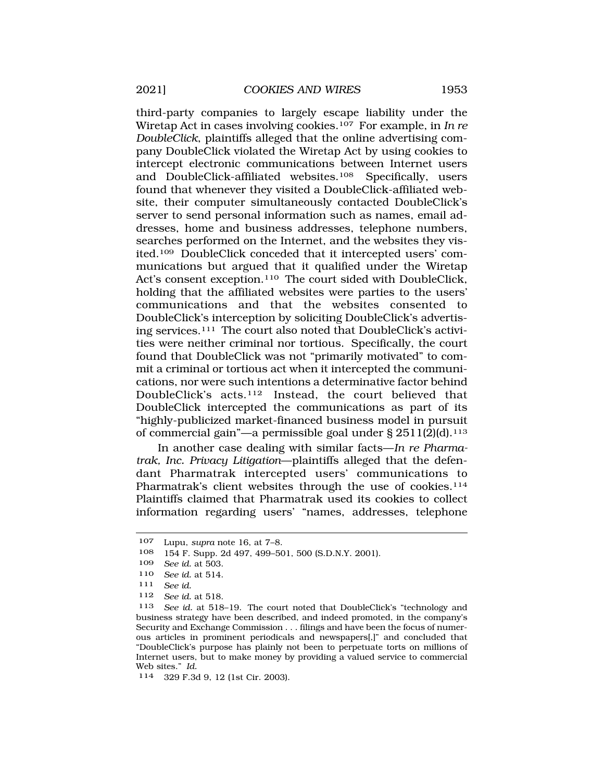third-party companies to largely escape liability under the Wiretap Act in cases involving cookies.107 For example, in *In re DoubleClick*, plaintiffs alleged that the online advertising company DoubleClick violated the Wiretap Act by using cookies to intercept electronic communications between Internet users and DoubleClick-affiliated websites.108 Specifically, users found that whenever they visited a DoubleClick-affiliated website, their computer simultaneously contacted DoubleClick's server to send personal information such as names, email addresses, home and business addresses, telephone numbers, searches performed on the Internet, and the websites they visited.109 DoubleClick conceded that it intercepted users' communications but argued that it qualified under the Wiretap Act's consent exception.110 The court sided with DoubleClick, holding that the affiliated websites were parties to the users' communications and that the websites consented to DoubleClick's interception by soliciting DoubleClick's advertising services.111 The court also noted that DoubleClick's activities were neither criminal nor tortious. Specifically, the court found that DoubleClick was not "primarily motivated" to commit a criminal or tortious act when it intercepted the communications, nor were such intentions a determinative factor behind DoubleClick's acts.112 Instead, the court believed that DoubleClick intercepted the communications as part of its "highly-publicized market-financed business model in pursuit of commercial gain"—a permissible goal under § 2511(2)(d).113

In another case dealing with similar facts—*In re Pharmatrak, Inc. Privacy Litigation*—plaintiffs alleged that the defendant Pharmatrak intercepted users' communications to Pharmatrak's client websites through the use of cookies.<sup>114</sup> Plaintiffs claimed that Pharmatrak used its cookies to collect information regarding users' "names, addresses, telephone

<sup>107</sup> Lupu, *supra* note 16, at 7–8.

<sup>108 154</sup> F. Supp. 2d 497, 499–501, 500 (S.D.N.Y. 2001).

<sup>109</sup> *See id.* at 503.

<sup>110</sup> *See id.* at 514.

<sup>111</sup> *See id.* 

<sup>112</sup> *See id.* at 518.

<sup>113</sup> *See id.* at 518–19. The court noted that DoubleClick's "technology and business strategy have been described, and indeed promoted, in the company's Security and Exchange Commission . . . filings and have been the focus of numerous articles in prominent periodicals and newspapers[,]" and concluded that "DoubleClick's purpose has plainly not been to perpetuate torts on millions of Internet users, but to make money by providing a valued service to commercial Web sites." *Id.* 

<sup>114 329</sup> F.3d 9, 12 (1st Cir. 2003).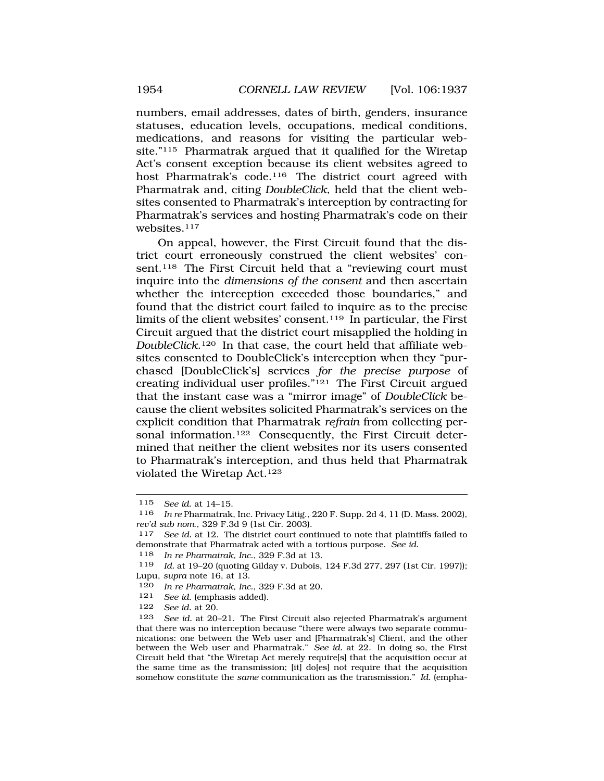numbers, email addresses, dates of birth, genders, insurance statuses, education levels, occupations, medical conditions, medications, and reasons for visiting the particular website."115 Pharmatrak argued that it qualified for the Wiretap Act's consent exception because its client websites agreed to host Pharmatrak's code.116 The district court agreed with Pharmatrak and, citing *DoubleClick*, held that the client websites consented to Pharmatrak's interception by contracting for Pharmatrak's services and hosting Pharmatrak's code on their websites.<sup>117</sup>

On appeal, however, the First Circuit found that the district court erroneously construed the client websites' consent.<sup>118</sup> The First Circuit held that a "reviewing court must inquire into the *dimensions of the consent* and then ascertain whether the interception exceeded those boundaries," and found that the district court failed to inquire as to the precise limits of the client websites' consent.119 In particular, the First Circuit argued that the district court misapplied the holding in *DoubleClick*.120 In that case, the court held that affiliate websites consented to DoubleClick's interception when they "purchased [DoubleClick's] services *for the precise purpose* of creating individual user profiles."121 The First Circuit argued that the instant case was a "mirror image" of *DoubleClick* because the client websites solicited Pharmatrak's services on the explicit condition that Pharmatrak *refrain* from collecting personal information.<sup>122</sup> Consequently, the First Circuit determined that neither the client websites nor its users consented to Pharmatrak's interception, and thus held that Pharmatrak violated the Wiretap Act.123

- 120 *In re Pharmatrak, Inc.*, 329 F.3d at 20.
- 121 *See id.* (emphasis added).
- 122 *See id.* at 20.

<sup>115</sup> *See id.* at 14–15.

<sup>116</sup> *In re* Pharmatrak, Inc. Privacy Litig., 220 F. Supp. 2d 4, 11 (D. Mass. 2002), *rev'd sub nom*., 329 F.3d 9 (1st Cir. 2003).

<sup>117</sup> *See id.* at 12. The district court continued to note that plaintiffs failed to demonstrate that Pharmatrak acted with a tortious purpose. *See id.* 

<sup>118</sup> *In re Pharmatrak, Inc.*, 329 F.3d at 13.

<sup>119</sup> *Id.* at 19–20 (quoting Gilday v. Dubois, 124 F.3d 277, 297 (1st Cir. 1997)); Lupu, *supra* note 16, at 13.

<sup>123</sup> *See id.* at 20–21. The First Circuit also rejected Pharmatrak's argument that there was no interception because "there were always two separate communications: one between the Web user and [Pharmatrak's] Client, and the other between the Web user and Pharmatrak." *See id.* at 22. In doing so, the First Circuit held that "the Wiretap Act merely require[s] that the acquisition occur at the same time as the transmission; [it] do[es] not require that the acquisition somehow constitute the *same* communication as the transmission." *Id.* (empha-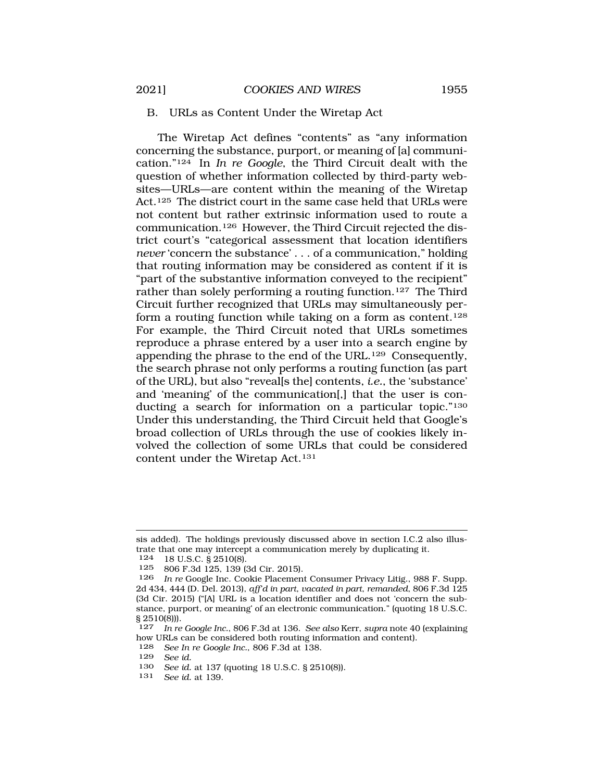#### <span id="page-18-0"></span>B. URLs as Content Under the Wiretap Act

The Wiretap Act defines "contents" as "any information concerning the substance, purport, or meaning of [a] communication."124 In *In re Google*, the Third Circuit dealt with the question of whether information collected by third-party websites—URLs—are content within the meaning of the Wiretap Act.125 The district court in the same case held that URLs were not content but rather extrinsic information used to route a communication.126 However, the Third Circuit rejected the district court's "categorical assessment that location identifiers *never* 'concern the substance' . . . of a communication," holding that routing information may be considered as content if it is "part of the substantive information conveyed to the recipient" rather than solely performing a routing function.<sup>127</sup> The Third Circuit further recognized that URLs may simultaneously perform a routing function while taking on a form as content.128 For example, the Third Circuit noted that URLs sometimes reproduce a phrase entered by a user into a search engine by appending the phrase to the end of the URL.129 Consequently, the search phrase not only performs a routing function (as part of the URL), but also "reveal[s the] contents, *i.e.*, the 'substance' and 'meaning' of the communication[,] that the user is conducting a search for information on a particular topic."130 Under this understanding, the Third Circuit held that Google's broad collection of URLs through the use of cookies likely involved the collection of some URLs that could be considered content under the Wiretap Act.131

18 U.S.C. § 2510(8).

128 *See In re Google Inc.*, 806 F.3d at 138.

131 *See id.* at 139.

sis added). The holdings previously discussed above in section I.C.2 also illustrate that one may intercept a communication merely by duplicating it.<br> $124 - 18$  II S C  $\ge 8$  2510(8)

<sup>125 806</sup> F.3d 125, 139 (3d Cir. 2015).

<sup>126</sup> *In re* Google Inc. Cookie Placement Consumer Privacy Litig., 988 F. Supp. 2d 434, 444 (D. Del. 2013), *aff'd in part*, *vacated in part*, *remanded*, 806 F.3d 125 (3d Cir. 2015) ("[A] URL is a location identifier and does not 'concern the substance, purport, or meaning' of an electronic communication." (quoting 18 U.S.C.  $\S 2510(8)$ ).<br>127 In re

In re Google Inc., 806 F.3d at 136. See also Kerr, *supra* note 40 (explaining how URLs can be considered both routing information and content).<br>128 See In re Google Inc. 806 F 3d at 138

<sup>129</sup> *See id.* 

<sup>130</sup> *See id.* at 137 (quoting 18 U.S.C. § 2510(8)).<br>131 *See id.* at 139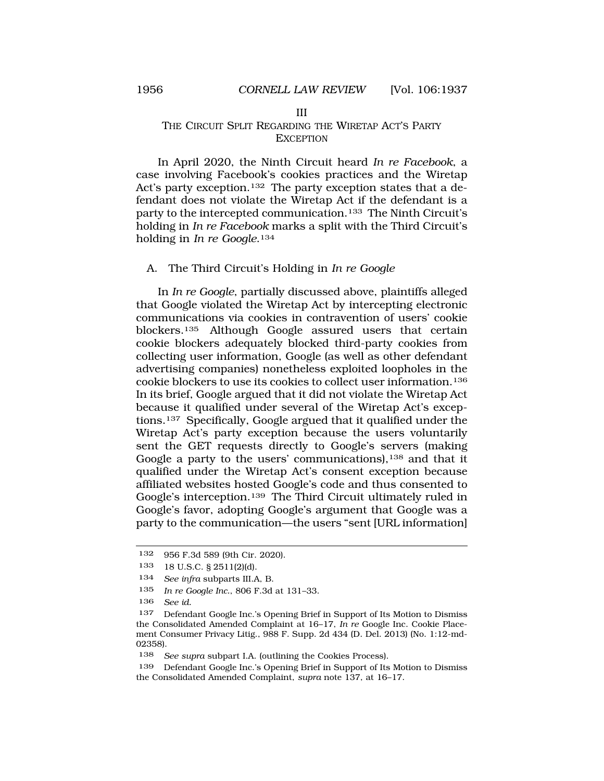#### III

# <span id="page-19-0"></span>THE CIRCUIT SPLIT REGARDING THE WIRETAP ACT'S PARTY EXCEPTION

In April 2020, the Ninth Circuit heard *In re Facebook*, a case involving Facebook's cookies practices and the Wiretap Act's party exception.132 The party exception states that a defendant does not violate the Wiretap Act if the defendant is a party to the intercepted communication.<sup>133</sup> The Ninth Circuit's holding in *In re Facebook* marks a split with the Third Circuit's holding in *In re Google*.134

# A. The Third Circuit's Holding in *In re Google*

In *In re Google*, partially discussed above, plaintiffs alleged that Google violated the Wiretap Act by intercepting electronic communications via cookies in contravention of users' cookie blockers.135 Although Google assured users that certain cookie blockers adequately blocked third-party cookies from collecting user information, Google (as well as other defendant advertising companies) nonetheless exploited loopholes in the cookie blockers to use its cookies to collect user information.136 In its brief, Google argued that it did not violate the Wiretap Act because it qualified under several of the Wiretap Act's exceptions.137 Specifically, Google argued that it qualified under the Wiretap Act's party exception because the users voluntarily sent the GET requests directly to Google's servers (making Google a party to the users' communications),<sup>138</sup> and that it qualified under the Wiretap Act's consent exception because affiliated websites hosted Google's code and thus consented to Google's interception.139 The Third Circuit ultimately ruled in Google's favor, adopting Google's argument that Google was a party to the communication—the users "sent [URL information]

<sup>132 956</sup> F.3d 589 (9th Cir. 2020).

<sup>133 18</sup> U.S.C. § 2511(2)(d).

<sup>134</sup> *See infra* subparts III.A, B.

<sup>135</sup> *In re Google Inc.*, 806 F.3d at 131–33.

<sup>136</sup> *See id.* 

<sup>137</sup> Defendant Google Inc.'s Opening Brief in Support of Its Motion to Dismiss the Consolidated Amended Complaint at 16–17, *In re* Google Inc. Cookie Placement Consumer Privacy Litig., 988 F. Supp. 2d 434 (D. Del. 2013) (No. 1:12-md-02358).

<sup>138</sup> *See supra* subpart I.A. (outlining the Cookies Process).

<sup>139</sup> Defendant Google Inc.'s Opening Brief in Support of Its Motion to Dismiss the Consolidated Amended Complaint, *supra* note 137, at 16–17.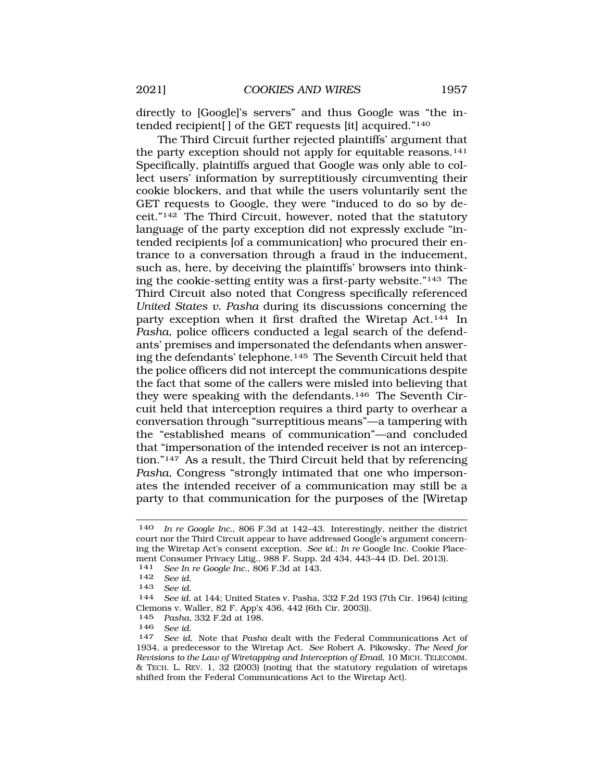directly to [Google]'s servers" and thus Google was "the intended recipient[ ] of the GET requests [it] acquired."140

The Third Circuit further rejected plaintiffs' argument that the party exception should not apply for equitable reasons.<sup>141</sup> Specifically, plaintiffs argued that Google was only able to collect users' information by surreptitiously circumventing their cookie blockers, and that while the users voluntarily sent the GET requests to Google, they were "induced to do so by deceit."142 The Third Circuit, however, noted that the statutory language of the party exception did not expressly exclude "intended recipients [of a communication] who procured their entrance to a conversation through a fraud in the inducement, such as, here, by deceiving the plaintiffs' browsers into thinking the cookie-setting entity was a first-party website."143 The Third Circuit also noted that Congress specifically referenced *United States v. Pasha* during its discussions concerning the party exception when it first drafted the Wiretap Act.144 In *Pasha*, police officers conducted a legal search of the defendants' premises and impersonated the defendants when answering the defendants' telephone.145 The Seventh Circuit held that the police officers did not intercept the communications despite the fact that some of the callers were misled into believing that they were speaking with the defendants.146 The Seventh Circuit held that interception requires a third party to overhear a conversation through "surreptitious means"—a tampering with the "established means of communication"—and concluded that "impersonation of the intended receiver is not an interception."147 As a result, the Third Circuit held that by referencing *Pasha*, Congress "strongly intimated that one who impersonates the intended receiver of a communication may still be a party to that communication for the purposes of the [Wiretap

141 *See In re Google Inc.*, 806 F.3d at 143.

145 *Pasha*, 332 F.2d at 198.

<sup>140</sup> *In re Google Inc.*, 806 F.3d at 142–43. Interestingly, neither the district court nor the Third Circuit appear to have addressed Google's argument concerning the Wiretap Act's consent exception. *See id.*; *In re* Google Inc. Cookie Placement Consumer Privacy Litig., 988 F. Supp. 2d 434, 443–44 (D. Del. 2013).

<sup>142</sup> *See id.* 

<sup>143</sup>*See id.* 144 *See id.* at 144; United States v. Pasha, 332 F.2d 193 (7th Cir. 1964) (citing Clemons v. Waller, 82 F. App'x 436, 442 (6th Cir. 2003)).

<sup>146</sup>*See id.* 147 *See id.* Note that *Pasha* dealt with the Federal Communications Act of 1934, a predecessor to the Wiretap Act. *See* Robert A. Pikowsky, *The Need for Revisions to the Law of Wiretapping and Interception of Email*, 10 MICH. TELECOMM. & TECH. L. REV. 1, 32 (2003) (noting that the statutory regulation of wiretaps shifted from the Federal Communications Act to the Wiretap Act).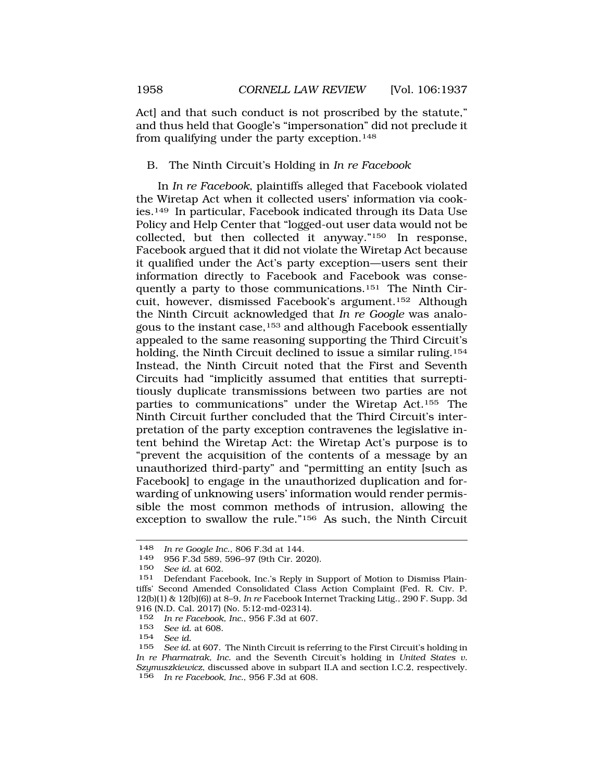<span id="page-21-0"></span>Act] and that such conduct is not proscribed by the statute," and thus held that Google's "impersonation" did not preclude it from qualifying under the party exception.<sup>148</sup>

# B. The Ninth Circuit's Holding in *In re Facebook*

In *In re Facebook*, plaintiffs alleged that Facebook violated the Wiretap Act when it collected users' information via cookies.149 In particular, Facebook indicated through its Data Use Policy and Help Center that "logged-out user data would not be collected, but then collected it anyway."150 In response, Facebook argued that it did not violate the Wiretap Act because it qualified under the Act's party exception—users sent their information directly to Facebook and Facebook was consequently a party to those communications.151 The Ninth Circuit, however, dismissed Facebook's argument.152 Although the Ninth Circuit acknowledged that *In re Google* was analogous to the instant case,153 and although Facebook essentially appealed to the same reasoning supporting the Third Circuit's holding, the Ninth Circuit declined to issue a similar ruling.<sup>154</sup> Instead, the Ninth Circuit noted that the First and Seventh Circuits had "implicitly assumed that entities that surreptitiously duplicate transmissions between two parties are not parties to communications" under the Wiretap Act.155 The Ninth Circuit further concluded that the Third Circuit's interpretation of the party exception contravenes the legislative intent behind the Wiretap Act: the Wiretap Act's purpose is to "prevent the acquisition of the contents of a message by an unauthorized third-party" and "permitting an entity [such as Facebook] to engage in the unauthorized duplication and forwarding of unknowing users' information would render permissible the most common methods of intrusion, allowing the exception to swallow the rule."156 As such, the Ninth Circuit

<sup>148</sup> *In re Google Inc.*, 806 F.3d at 144.

<sup>956</sup> F.3d 589, 596-97 (9th Cir. 2020).

<sup>150</sup> *See id.* at 602.

<sup>151</sup> Defendant Facebook, Inc.'s Reply in Support of Motion to Dismiss Plaintiffs' Second Amended Consolidated Class Action Complaint (Fed. R. Civ. P. 12(b)(1) & 12(b)(6)) at 8–9, *In re* Facebook Internet Tracking Litig., 290 F. Supp. 3d 916 (N.D. Cal. 2017) (No. 5:12-md-02314).

<sup>152</sup> *In re Facebook, Inc.*, 956 F.3d at 607.

<sup>153</sup> *See id.* at 608.

<sup>154</sup> *See id.* 

See id. at 607. The Ninth Circuit is referring to the First Circuit's holding in *In re Pharmatrak, Inc.* and the Seventh Circuit's holding in *United States v. Szymuszkiewicz*, discussed above in subpart II.A and section I.C.2, respectively. 156 *In re Facebook, Inc.*, 956 F.3d at 608.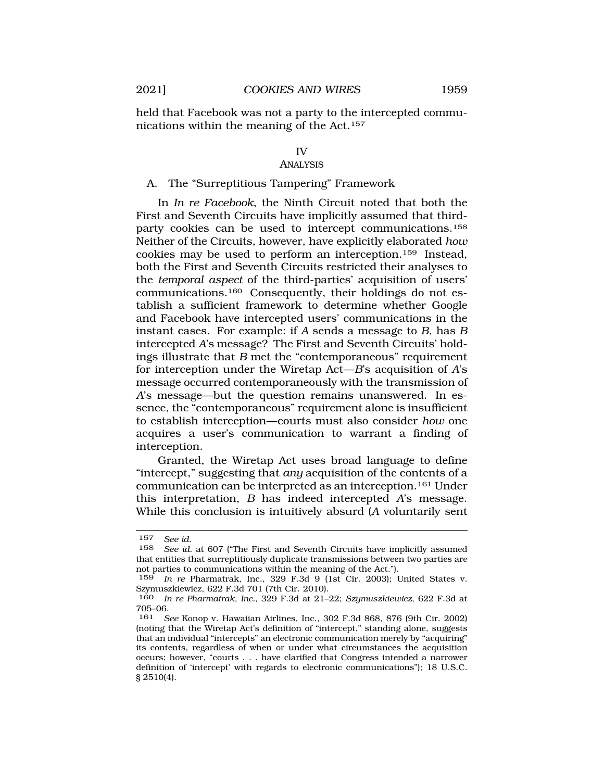<span id="page-22-0"></span>held that Facebook was not a party to the intercepted communications within the meaning of the Act.157

### IV

### ANALYSIS

### A. The "Surreptitious Tampering" Framework

In *In re Facebook*, the Ninth Circuit noted that both the First and Seventh Circuits have implicitly assumed that thirdparty cookies can be used to intercept communications.158 Neither of the Circuits, however, have explicitly elaborated *how*  cookies may be used to perform an interception.159 Instead, both the First and Seventh Circuits restricted their analyses to the *temporal aspect* of the third-parties' acquisition of users' communications.160 Consequently, their holdings do not establish a sufficient framework to determine whether Google and Facebook have intercepted users' communications in the instant cases. For example: if *A* sends a message to *B*, has *B*  intercepted *A*'s message? The First and Seventh Circuits' holdings illustrate that *B* met the "contemporaneous" requirement for interception under the Wiretap Act—*B*'s acquisition of *A*'s message occurred contemporaneously with the transmission of *A*'s message—but the question remains unanswered. In essence, the "contemporaneous" requirement alone is insufficient to establish interception—courts must also consider *how* one acquires a user's communication to warrant a finding of interception.

Granted, the Wiretap Act uses broad language to define "intercept," suggesting that *any* acquisition of the contents of a communication can be interpreted as an interception.161 Under this interpretation, *B* has indeed intercepted *A*'s message. While this conclusion is intuitively absurd (*A* voluntarily sent

<sup>157</sup> *See id.* 

See id. at 607 ("The First and Seventh Circuits have implicitly assumed that entities that surreptitiously duplicate transmissions between two parties are not parties to communications within the meaning of the Act.").

<sup>159</sup> *In re* Pharmatrak, Inc., 329 F.3d 9 (1st Cir. 2003); United States v. Szymuszkiewicz, 622 F.3d 701 (7th Cir. 2010).

<sup>160</sup> *In re Pharmatrak, Inc.*, 329 F.3d at 21–22; *Szymuszkiewicz*, 622 F.3d at  $705-06.$ <br>161 S

<sup>161</sup> *See* Konop v. Hawaiian Airlines, Inc., 302 F.3d 868, 876 (9th Cir. 2002) (noting that the Wiretap Act's definition of "intercept," standing alone, suggests that an individual "intercepts" an electronic communication merely by "acquiring" its contents, regardless of when or under what circumstances the acquisition occurs; however, "courts . . . have clarified that Congress intended a narrower definition of 'intercept' with regards to electronic communications"); 18 U.S.C. § 2510(4).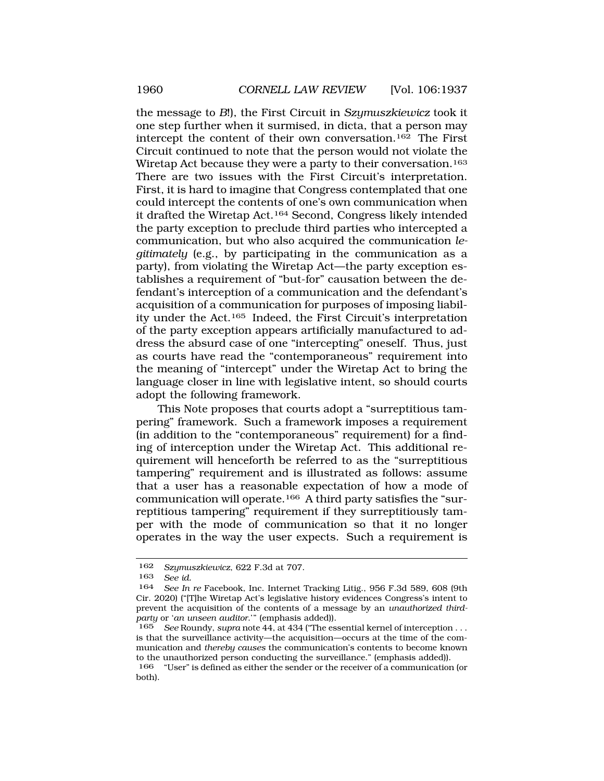the message to *B*!), the First Circuit in *Szymuszkiewicz* took it one step further when it surmised, in dicta, that a person may intercept the content of their own conversation.162 The First Circuit continued to note that the person would not violate the Wiretap Act because they were a party to their conversation.163 There are two issues with the First Circuit's interpretation. First, it is hard to imagine that Congress contemplated that one could intercept the contents of one's own communication when it drafted the Wiretap Act.164 Second, Congress likely intended the party exception to preclude third parties who intercepted a communication, but who also acquired the communication *legitimately* (e.g., by participating in the communication as a party), from violating the Wiretap Act—the party exception establishes a requirement of "but-for" causation between the defendant's interception of a communication and the defendant's acquisition of a communication for purposes of imposing liability under the Act.165 Indeed, the First Circuit's interpretation of the party exception appears artificially manufactured to address the absurd case of one "intercepting" oneself. Thus, just as courts have read the "contemporaneous" requirement into the meaning of "intercept" under the Wiretap Act to bring the language closer in line with legislative intent, so should courts adopt the following framework.

This Note proposes that courts adopt a "surreptitious tampering" framework. Such a framework imposes a requirement (in addition to the "contemporaneous" requirement) for a finding of interception under the Wiretap Act. This additional requirement will henceforth be referred to as the "surreptitious tampering" requirement and is illustrated as follows: assume that a user has a reasonable expectation of how a mode of communication will operate.166 A third party satisfies the "surreptitious tampering" requirement if they surreptitiously tamper with the mode of communication so that it no longer operates in the way the user expects. Such a requirement is

<sup>162</sup> *Szymuszkiewicz*, 622 F.3d at 707.

<sup>163</sup> *See id.* 

See In re Facebook, Inc. Internet Tracking Litig., 956 F.3d 589, 608 (9th Cir. 2020) ("[T]he Wiretap Act's legislative history evidences Congress's intent to prevent the acquisition of the contents of a message by an *unauthorized thirdparty* or '*an unseen auditor*.'" (emphasis added)).

<sup>165</sup> *See* Roundy, *supra* note 44, at 434 ("The essential kernel of interception . . . is that the surveillance activity—the acquisition—occurs at the time of the communication and *thereby causes* the communication's contents to become known to the unauthorized person conducting the surveillance." (emphasis added)).

<sup>166 &</sup>quot;User" is defined as either the sender or the receiver of a communication (or both).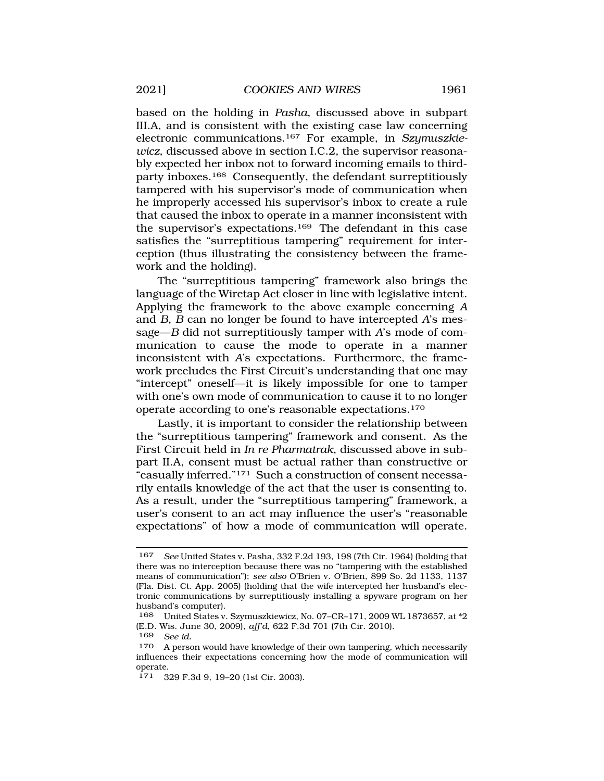based on the holding in *Pasha*, discussed above in subpart III.A, and is consistent with the existing case law concerning electronic communications.167 For example, in *Szymuszkiewicz*, discussed above in section I.C.2, the supervisor reasonably expected her inbox not to forward incoming emails to thirdparty inboxes.168 Consequently, the defendant surreptitiously tampered with his supervisor's mode of communication when he improperly accessed his supervisor's inbox to create a rule that caused the inbox to operate in a manner inconsistent with the supervisor's expectations.169 The defendant in this case satisfies the "surreptitious tampering" requirement for interception (thus illustrating the consistency between the framework and the holding).

The "surreptitious tampering" framework also brings the language of the Wiretap Act closer in line with legislative intent. Applying the framework to the above example concerning *A*  and *B*, *B* can no longer be found to have intercepted *A*'s message—*B* did not surreptitiously tamper with *A*'s mode of communication to cause the mode to operate in a manner inconsistent with *A*'s expectations. Furthermore, the framework precludes the First Circuit's understanding that one may "intercept" oneself—it is likely impossible for one to tamper with one's own mode of communication to cause it to no longer operate according to one's reasonable expectations.170

Lastly, it is important to consider the relationship between the "surreptitious tampering" framework and consent. As the First Circuit held in *In re Pharmatrak*, discussed above in subpart II.A, consent must be actual rather than constructive or "casually inferred."171 Such a construction of consent necessarily entails knowledge of the act that the user is consenting to. As a result, under the "surreptitious tampering" framework, a user's consent to an act may influence the user's "reasonable expectations" of how a mode of communication will operate.

<sup>167</sup> *See* United States v. Pasha, 332 F.2d 193, 198 (7th Cir. 1964) (holding that there was no interception because there was no "tampering with the established means of communication"); *see also* O'Brien v. O'Brien, 899 So. 2d 1133, 1137 (Fla. Dist. Ct. App. 2005) (holding that the wife intercepted her husband's electronic communications by surreptitiously installing a spyware program on her husband's computer).

<sup>168</sup> United States v. Szymuszkiewicz, No. 07–CR–171, 2009 WL 1873657, at \*2 (E.D. Wis. June 30, 2009), *aff'd*, 622 F.3d 701 (7th Cir. 2010).

<sup>169</sup> *See id.* 

<sup>170</sup> A person would have knowledge of their own tampering, which necessarily influences their expectations concerning how the mode of communication will operate.

<sup>171 329</sup> F.3d 9, 19–20 (1st Cir. 2003).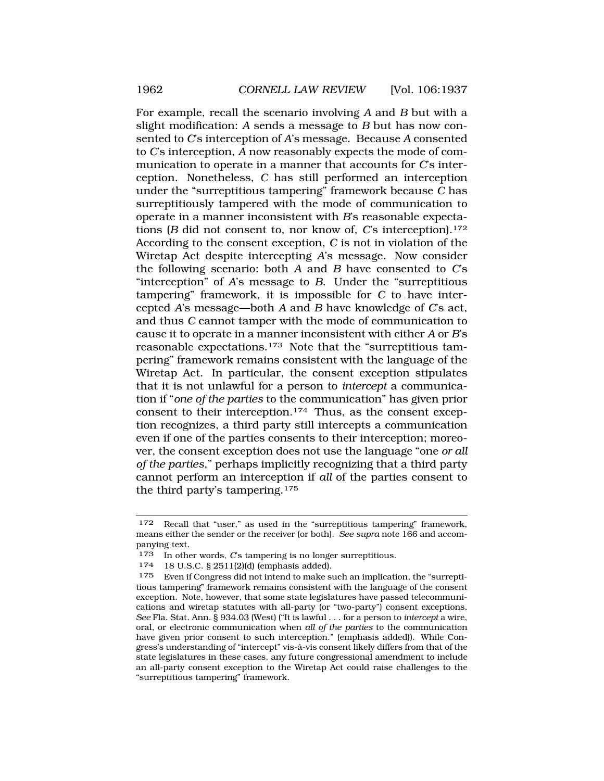For example, recall the scenario involving *A* and *B* but with a slight modification: *A* sends a message to *B* but has now consented to *C*'s interception of *A*'s message. Because *A* consented to *C*'s interception, *A* now reasonably expects the mode of communication to operate in a manner that accounts for *C*'s interception. Nonetheless, *C* has still performed an interception under the "surreptitious tampering" framework because *C* has surreptitiously tampered with the mode of communication to operate in a manner inconsistent with *B*'s reasonable expectations (*B* did not consent to, nor know of, *C*'s interception).172 According to the consent exception, *C* is not in violation of the Wiretap Act despite intercepting *A*'s message. Now consider the following scenario: both *A* and *B* have consented to *C*'s "interception" of *A*'s message to *B*. Under the "surreptitious tampering" framework, it is impossible for *C* to have intercepted *A*'s message—both *A* and *B* have knowledge of *C*'s act, and thus *C* cannot tamper with the mode of communication to cause it to operate in a manner inconsistent with either *A* or *B*'s reasonable expectations.173 Note that the "surreptitious tampering" framework remains consistent with the language of the Wiretap Act. In particular, the consent exception stipulates that it is not unlawful for a person to *intercept* a communication if "*one of the parties* to the communication" has given prior consent to their interception.174 Thus, as the consent exception recognizes, a third party still intercepts a communication even if one of the parties consents to their interception; moreover, the consent exception does not use the language "one *or all of the parties*," perhaps implicitly recognizing that a third party cannot perform an interception if *all* of the parties consent to the third party's tampering.175

<sup>172</sup> Recall that "user," as used in the "surreptitious tampering" framework, means either the sender or the receiver (or both). *See supra* note 166 and accompanying text.

<sup>173</sup> In other words, *C*'s tampering is no longer surreptitious.

<sup>174 18</sup> U.S.C. § 2511(2)(d) (emphasis added).

<sup>175</sup> Even if Congress did not intend to make such an implication, the "surreptitious tampering" framework remains consistent with the language of the consent exception. Note, however, that some state legislatures have passed telecommunications and wiretap statutes with all-party (or "two-party") consent exceptions. *See* Fla. Stat. Ann. § 934.03 (West) ("It is lawful . . . for a person to *intercept* a wire, oral, or electronic communication when *all of the parties* to the communication have given prior consent to such interception." (emphasis added)). While Congress's understanding of "intercept" vis-à-vis consent likely differs from that of the state legislatures in these cases, any future congressional amendment to include an all-party consent exception to the Wiretap Act could raise challenges to the "surreptitious tampering" framework.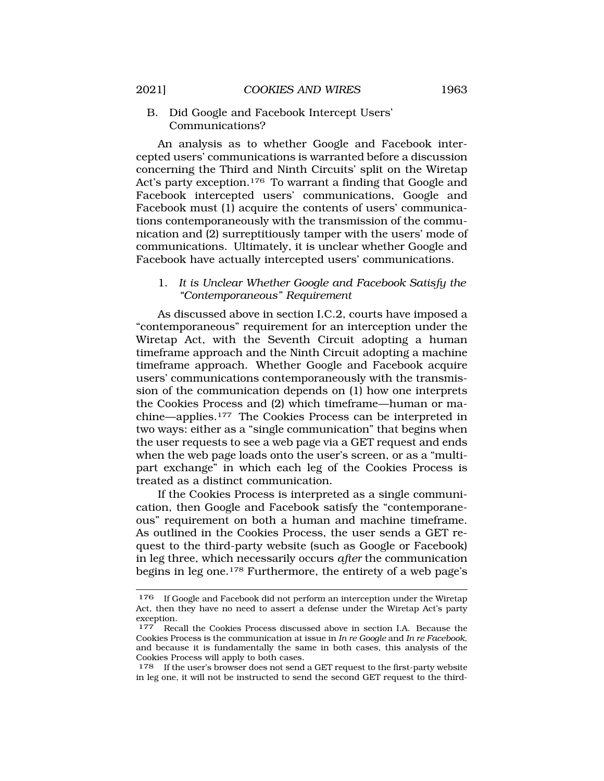<span id="page-26-0"></span>B. Did Google and Facebook Intercept Users' Communications?

An analysis as to whether Google and Facebook intercepted users' communications is warranted before a discussion concerning the Third and Ninth Circuits' split on the Wiretap Act's party exception.176 To warrant a finding that Google and Facebook intercepted users' communications, Google and Facebook must (1) acquire the contents of users' communications contemporaneously with the transmission of the communication and (2) surreptitiously tamper with the users' mode of communications. Ultimately, it is unclear whether Google and Facebook have actually intercepted users' communications.

1. *It is Unclear Whether Google and Facebook Satisfy the "Contemporaneous" Requirement* 

As discussed above in section I.C.2, courts have imposed a "contemporaneous" requirement for an interception under the Wiretap Act, with the Seventh Circuit adopting a human timeframe approach and the Ninth Circuit adopting a machine timeframe approach. Whether Google and Facebook acquire users' communications contemporaneously with the transmission of the communication depends on (1) how one interprets the Cookies Process and (2) which timeframe—human or machine—applies.177 The Cookies Process can be interpreted in two ways: either as a "single communication" that begins when the user requests to see a web page via a GET request and ends when the web page loads onto the user's screen, or as a "multipart exchange" in which each leg of the Cookies Process is treated as a distinct communication.

If the Cookies Process is interpreted as a single communication, then Google and Facebook satisfy the "contemporaneous" requirement on both a human and machine timeframe. As outlined in the Cookies Process, the user sends a GET request to the third-party website (such as Google or Facebook) in leg three, which necessarily occurs *after* the communication begins in leg one.178 Furthermore, the entirety of a web page's

<sup>&</sup>lt;sup>176</sup> If Google and Facebook did not perform an interception under the Wiretap Act, then they have no need to assert a defense under the Wiretap Act's party exception.<br>177 Rec

Recall the Cookies Process discussed above in section I.A. Because the Cookies Process is the communication at issue in *In re Google* and *In re Facebook*, and because it is fundamentally the same in both cases, this analysis of the Cookies Process will apply to both cases.

<sup>178</sup> If the user's browser does not send a GET request to the first-party website in leg one, it will not be instructed to send the second GET request to the third-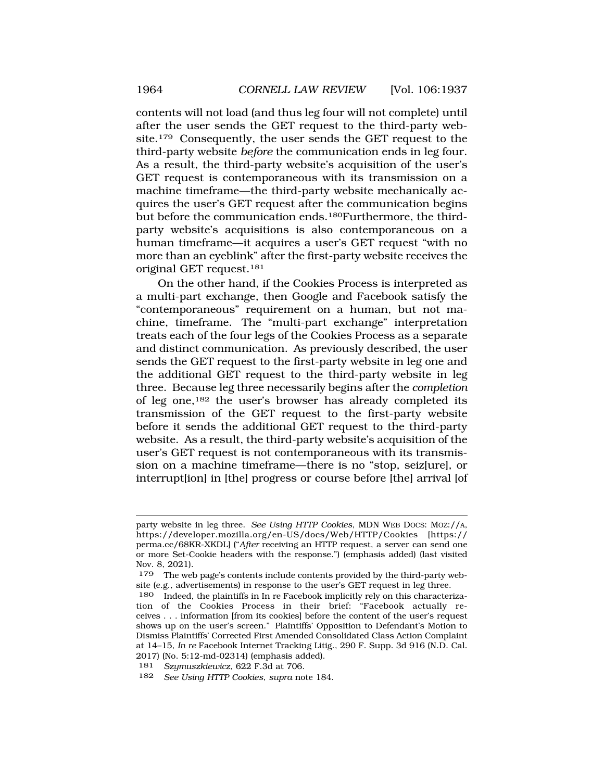contents will not load (and thus leg four will not complete) until after the user sends the GET request to the third-party website.179 Consequently, the user sends the GET request to the third-party website *before* the communication ends in leg four. As a result, the third-party website's acquisition of the user's GET request is contemporaneous with its transmission on a machine timeframe—the third-party website mechanically acquires the user's GET request after the communication begins but before the communication ends.180Furthermore, the thirdparty website's acquisitions is also contemporaneous on a human timeframe—it acquires a user's GET request "with no more than an eyeblink" after the first-party website receives the original GET request.181

On the other hand, if the Cookies Process is interpreted as a multi-part exchange, then Google and Facebook satisfy the "contemporaneous" requirement on a human, but not machine, timeframe. The "multi-part exchange" interpretation treats each of the four legs of the Cookies Process as a separate and distinct communication. As previously described, the user sends the GET request to the first-party website in leg one and the additional GET request to the third-party website in leg three. Because leg three necessarily begins after the *completion*  of leg one,182 the user's browser has already completed its transmission of the GET request to the first-party website before it sends the additional GET request to the third-party website. As a result, the third-party website's acquisition of the user's GET request is not contemporaneous with its transmission on a machine timeframe—there is no "stop, seiz[ure], or interrupt[ion] in [the] progress or course before [the] arrival [of

party website in leg three. *See Using HTTP Cookies*, MDN WEB DOCS: MOZ://A, <https://developer.mozilla.org/en-US/docs/Web/HTTP/Cookies>[https:// perma.cc/68KR-XKDL] ("*After* receiving an HTTP request, a server can send one or more Set-Cookie headers with the response.") (emphasis added) (last visited Nov. 8, 2021).

<sup>179</sup> The web page's contents include contents provided by the third-party website (e.g., advertisements) in response to the user's GET request in leg three.

<sup>180</sup> Indeed, the plaintiffs in In re Facebook implicitly rely on this characterization of the Cookies Process in their brief: "Facebook actually receives . . . information [from its cookies] before the content of the user's request shows up on the user's screen." Plaintiffs' Opposition to Defendant's Motion to Dismiss Plaintiffs' Corrected First Amended Consolidated Class Action Complaint at 14–15, *In re* Facebook Internet Tracking Litig., 290 F. Supp. 3d 916 (N.D. Cal. 2017) (No. 5:12-md-02314) (emphasis added).

<sup>181</sup> *Szymuszkiewicz*, 622 F.3d at 706.

<sup>182</sup> *See Using HTTP Cookies*, *supra* note 184.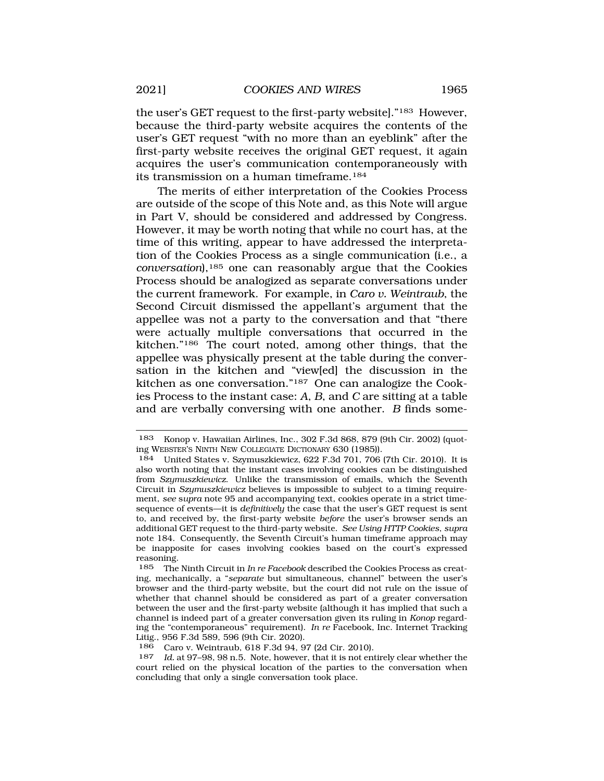the user's GET request to the first-party website]."183 However, because the third-party website acquires the contents of the user's GET request "with no more than an eyeblink" after the first-party website receives the original GET request, it again acquires the user's communication contemporaneously with its transmission on a human timeframe.184

The merits of either interpretation of the Cookies Process are outside of the scope of this Note and, as this Note will argue in Part V, should be considered and addressed by Congress. However, it may be worth noting that while no court has, at the time of this writing, appear to have addressed the interpretation of the Cookies Process as a single communication (i.e., a *conversation*),185 one can reasonably argue that the Cookies Process should be analogized as separate conversations under the current framework. For example, in *Caro v. Weintraub*, the Second Circuit dismissed the appellant's argument that the appellee was not a party to the conversation and that "there were actually multiple conversations that occurred in the kitchen."186 The court noted, among other things, that the appellee was physically present at the table during the conversation in the kitchen and "view[ed] the discussion in the kitchen as one conversation."187 One can analogize the Cookies Process to the instant case: *A*, *B*, and *C* are sitting at a table and are verbally conversing with one another. *B* finds some-

<sup>183</sup> Konop v. Hawaiian Airlines, Inc., 302 F.3d 868, 879 (9th Cir. 2002) (quoting WEBSTER'S NINTH NEW COLLEGIATE DICTIONARY 630 (1985)).

<sup>184</sup> United States v. Szymuszkiewicz, 622 F.3d 701, 706 (7th Cir. 2010). It is also worth noting that the instant cases involving cookies can be distinguished from *Szymuszkiewicz*. Unlike the transmission of emails, which the Seventh Circuit in *Szymuszkiewicz* believes is impossible to subject to a timing requirement, *see* s*upra* note 95 and accompanying text, cookies operate in a strict timesequence of events—it is *definitively* the case that the user's GET request is sent to, and received by, the first-party website *before* the user's browser sends an additional GET request to the third-party website. *See Using HTTP Cookies*, *supra*  note 184. Consequently, the Seventh Circuit's human timeframe approach may be inapposite for cases involving cookies based on the court's expressed reasoning.

<sup>185</sup> The Ninth Circuit in *In re Facebook* described the Cookies Process as creating, mechanically, a "*separate* but simultaneous, channel" between the user's browser and the third-party website, but the court did not rule on the issue of whether that channel should be considered as part of a greater conversation between the user and the first-party website (although it has implied that such a channel is indeed part of a greater conversation given its ruling in *Konop* regarding the "contemporaneous" requirement). *In re* Facebook, Inc. Internet Tracking Litig., 956 F.3d 589, 596 (9th Cir. 2020).

<sup>186</sup> Caro v. Weintraub, 618 F.3d 94, 97 (2d Cir. 2010).

<sup>187</sup> *Id.* at 97–98, 98 n.5. Note, however, that it is not entirely clear whether the court relied on the physical location of the parties to the conversation when concluding that only a single conversation took place.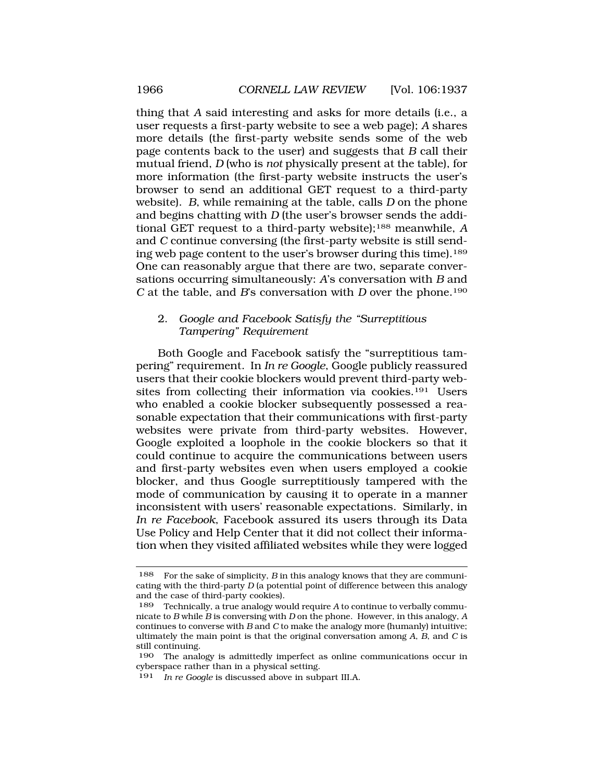thing that *A* said interesting and asks for more details (i.e., a user requests a first-party website to see a web page); *A* shares more details (the first-party website sends some of the web page contents back to the user) and suggests that *B* call their mutual friend, *D* (who is *not* physically present at the table), for more information (the first-party website instructs the user's browser to send an additional GET request to a third-party website). *B*, while remaining at the table, calls *D* on the phone and begins chatting with *D* (the user's browser sends the additional GET request to a third-party website);188 meanwhile, *A*  and *C* continue conversing (the first-party website is still sending web page content to the user's browser during this time).<sup>189</sup> One can reasonably argue that there are two, separate conversations occurring simultaneously: *A*'s conversation with *B* and *C* at the table, and *B*'s conversation with *D* over the phone.190

# 2. *Google and Facebook Satisfy the "Surreptitious Tampering" Requirement*

Both Google and Facebook satisfy the "surreptitious tampering" requirement. In *In re Google*, Google publicly reassured users that their cookie blockers would prevent third-party websites from collecting their information via cookies.191 Users who enabled a cookie blocker subsequently possessed a reasonable expectation that their communications with first-party websites were private from third-party websites. However, Google exploited a loophole in the cookie blockers so that it could continue to acquire the communications between users and first-party websites even when users employed a cookie blocker, and thus Google surreptitiously tampered with the mode of communication by causing it to operate in a manner inconsistent with users' reasonable expectations. Similarly, in *In re Facebook*, Facebook assured its users through its Data Use Policy and Help Center that it did not collect their information when they visited affiliated websites while they were logged

<sup>188</sup> For the sake of simplicity, *B* in this analogy knows that they are communicating with the third-party *D* (a potential point of difference between this analogy and the case of third-party cookies).

<sup>189</sup> Technically, a true analogy would require *A* to continue to verbally communicate to *B* while *B* is conversing with *D* on the phone. However, in this analogy, *A*  continues to converse with *B* and *C* to make the analogy more (humanly) intuitive; ultimately the main point is that the original conversation among *A*, *B*, and *C* is still continuing.

<sup>190</sup> The analogy is admittedly imperfect as online communications occur in cyberspace rather than in a physical setting.

<sup>191</sup> *In re Google* is discussed above in subpart III.A.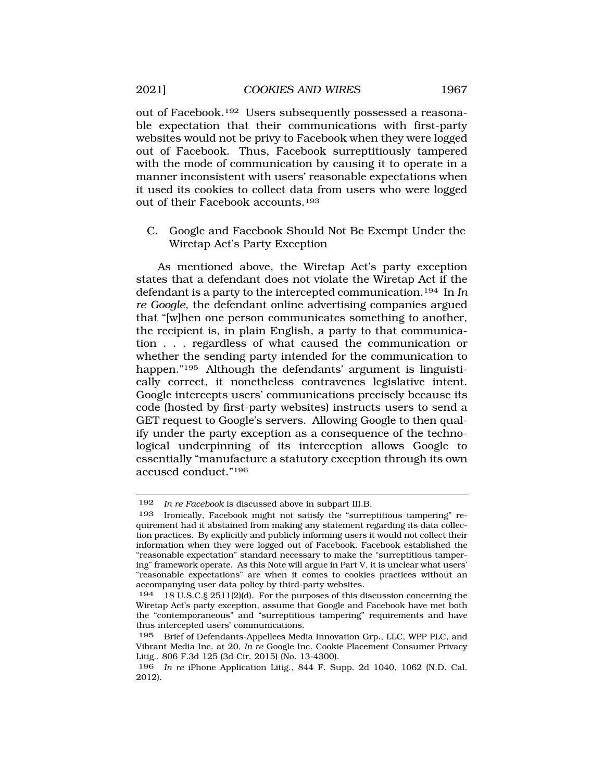out of Facebook.192 Users subsequently possessed a reasonable expectation that their communications with first-party websites would not be privy to Facebook when they were logged out of Facebook. Thus, Facebook surreptitiously tampered with the mode of communication by causing it to operate in a manner inconsistent with users' reasonable expectations when it used its cookies to collect data from users who were logged out of their Facebook accounts.193

C. Google and Facebook Should Not Be Exempt Under the Wiretap Act's Party Exception

As mentioned above, the Wiretap Act's party exception states that a defendant does not violate the Wiretap Act if the defendant is a party to the intercepted communication.194 In *In re Google*, the defendant online advertising companies argued that "[w]hen one person communicates something to another, the recipient is, in plain English, a party to that communication . . . regardless of what caused the communication or whether the sending party intended for the communication to happen."<sup>195</sup> Although the defendants' argument is linguistically correct, it nonetheless contravenes legislative intent. Google intercepts users' communications precisely because its code (hosted by first-party websites) instructs users to send a GET request to Google's servers. Allowing Google to then qualify under the party exception as a consequence of the technological underpinning of its interception allows Google to essentially "manufacture a statutory exception through its own accused conduct."196

<sup>192</sup> *In re Facebook* is discussed above in subpart III.B.

<sup>193</sup> Ironically, Facebook might not satisfy the "surreptitious tampering" requirement had it abstained from making any statement regarding its data collection practices. By explicitly and publicly informing users it would not collect their information when they were logged out of Facebook, Facebook established the "reasonable expectation" standard necessary to make the "surreptitious tampering" framework operate. As this Note will argue in Part V, it is unclear what users' "reasonable expectations" are when it comes to cookies practices without an accompanying user data policy by third-party websites.

<sup>194 18</sup> U.S.C.§ 2511(2)(d). For the purposes of this discussion concerning the Wiretap Act's party exception, assume that Google and Facebook have met both the "contemporaneous" and "surreptitious tampering" requirements and have thus intercepted users' communications.

<sup>195</sup> Brief of Defendants-Appellees Media Innovation Grp., LLC, WPP PLC, and Vibrant Media Inc. at 20, *In re* Google Inc. Cookie Placement Consumer Privacy Litig., 806 F.3d 125 (3d Cir. 2015) (No. 13-4300).

<sup>196</sup> *In re* iPhone Application Litig., 844 F. Supp. 2d 1040, 1062 (N.D. Cal. 2012).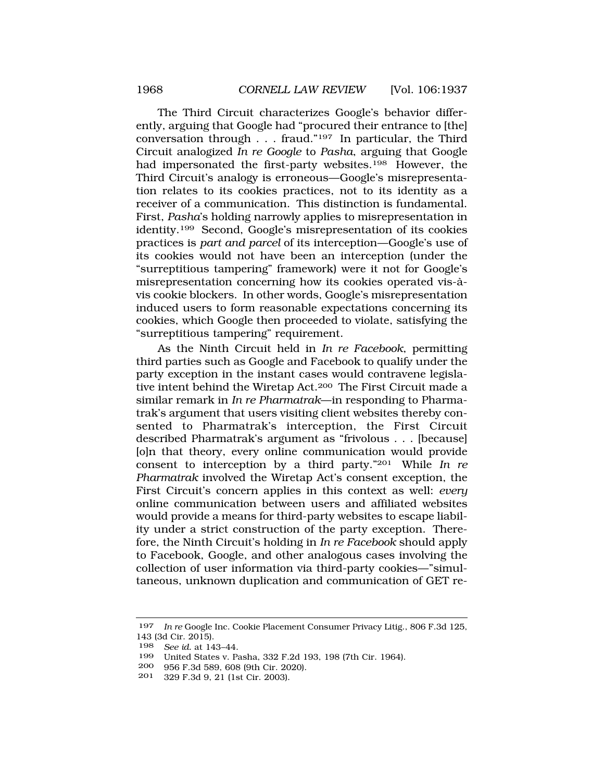The Third Circuit characterizes Google's behavior differently, arguing that Google had "procured their entrance to [the] conversation through . . . fraud."197 In particular, the Third Circuit analogized *In re Google* to *Pasha*, arguing that Google had impersonated the first-party websites.<sup>198</sup> However, the Third Circuit's analogy is erroneous—Google's misrepresentation relates to its cookies practices, not to its identity as a receiver of a communication. This distinction is fundamental. First, *Pasha*'s holding narrowly applies to misrepresentation in identity.199 Second, Google's misrepresentation of its cookies practices is *part and parcel* of its interception—Google's use of its cookies would not have been an interception (under the "surreptitious tampering" framework) were it not for Google's misrepresentation concerning how its cookies operated vis-àvis cookie blockers. In other words, Google's misrepresentation induced users to form reasonable expectations concerning its cookies, which Google then proceeded to violate, satisfying the "surreptitious tampering" requirement.

As the Ninth Circuit held in *In re Facebook*, permitting third parties such as Google and Facebook to qualify under the party exception in the instant cases would contravene legislative intent behind the Wiretap Act.200 The First Circuit made a similar remark in *In re Pharmatrak*—in responding to Pharmatrak's argument that users visiting client websites thereby consented to Pharmatrak's interception, the First Circuit described Pharmatrak's argument as "frivolous . . . [because] [o]n that theory, every online communication would provide consent to interception by a third party."201 While *In re Pharmatrak* involved the Wiretap Act's consent exception, the First Circuit's concern applies in this context as well: *every*  online communication between users and affiliated websites would provide a means for third-party websites to escape liability under a strict construction of the party exception. Therefore, the Ninth Circuit's holding in *In re Facebook* should apply to Facebook, Google, and other analogous cases involving the collection of user information via third-party cookies—"simultaneous, unknown duplication and communication of GET re-

<sup>197</sup> *In re* Google Inc. Cookie Placement Consumer Privacy Litig., 806 F.3d 125, 143 (3d Cir. 2015).

<sup>198</sup> *See id.* at 143–44.

<sup>199</sup> United States v. Pasha, 332 F.2d 193, 198 (7th Cir. 1964).

<sup>200 956</sup> F.3d 589, 608 (9th Cir. 2020).

<sup>201 329</sup> F.3d 9, 21 (1st Cir. 2003).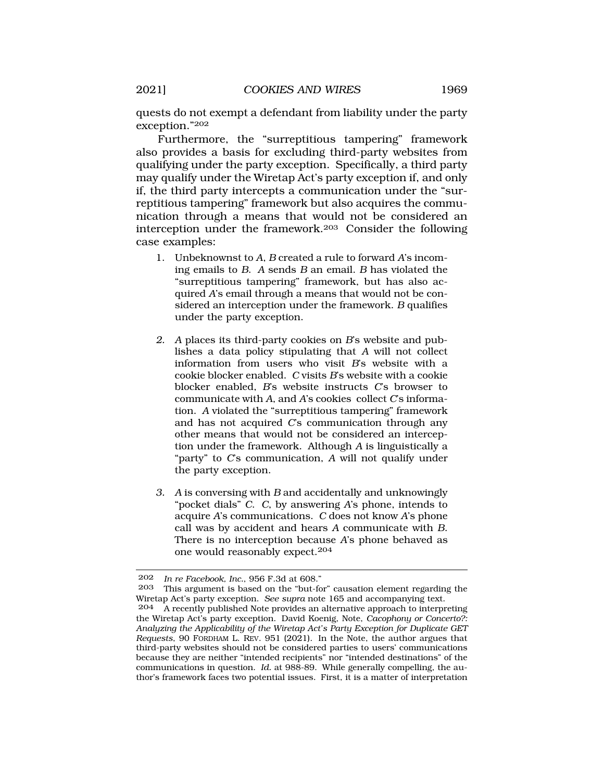quests do not exempt a defendant from liability under the party exception."202

Furthermore, the "surreptitious tampering" framework also provides a basis for excluding third-party websites from qualifying under the party exception. Specifically, a third party may qualify under the Wiretap Act's party exception if, and only if, the third party intercepts a communication under the "surreptitious tampering" framework but also acquires the communication through a means that would not be considered an interception under the framework.203 Consider the following case examples:

- 1. Unbeknownst to *A*, *B* created a rule to forward *A*'s incoming emails to *B*. *A* sends *B* an email. *B* has violated the "surreptitious tampering" framework, but has also acquired *A*'s email through a means that would not be considered an interception under the framework. *B* qualifies under the party exception.
- *2. A* places its third-party cookies on *B*'s website and publishes a data policy stipulating that *A* will not collect information from users who visit *B*'s website with a cookie blocker enabled. *C* visits *B*'s website with a cookie blocker enabled, *B*'s website instructs *C*'s browser to communicate with *A*, and *A*'s cookies collect *C*'s information. *A* violated the "surreptitious tampering" framework and has not acquired *C*'s communication through any other means that would not be considered an interception under the framework. Although *A* is linguistically a "party" to *C*'s communication, *A* will not qualify under the party exception.
- *3. A* is conversing with *B* and accidentally and unknowingly "pocket dials" *C*. *C*, by answering *A*'s phone, intends to acquire *A*'s communications. *C* does not know *A*'s phone call was by accident and hears *A* communicate with *B*. There is no interception because *A*'s phone behaved as one would reasonably expect.204

<sup>202</sup> *In re Facebook, Inc.*, 956 F.3d at 608."

This argument is based on the "but-for" causation element regarding the Wiretap Act's party exception. *See supra* note 165 and accompanying text.

<sup>204</sup> A recently published Note provides an alternative approach to interpreting the Wiretap Act's party exception. David Koenig, Note, *Cacophony or Concerto?: Analyzing the Applicability of the Wiretap Act's Party Exception for Duplicate GET Requests*, 90 FORDHAM L. REV. 951 (2021). In the Note, the author argues that third-party websites should not be considered parties to users' communications because they are neither "intended recipients" nor "intended destinations" of the communications in question. *Id.* at 988-89. While generally compelling, the author's framework faces two potential issues. First, it is a matter of interpretation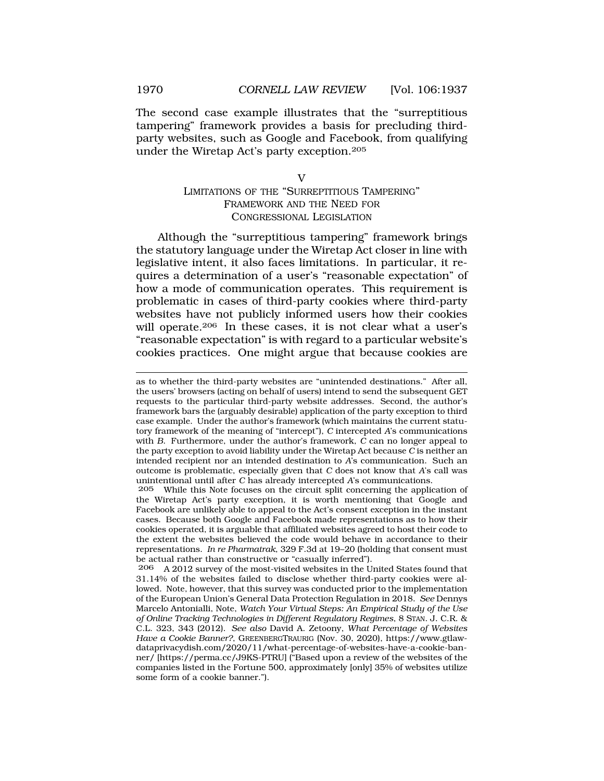The second case example illustrates that the "surreptitious tampering" framework provides a basis for precluding thirdparty websites, such as Google and Facebook, from qualifying under the Wiretap Act's party exception.205

 $\overline{V}$ 

# LIMITATIONS OF THE "SURREPTITIOUS TAMPERING" FRAMEWORK AND THE NEED FOR CONGRESSIONAL LEGISLATION

Although the "surreptitious tampering" framework brings the statutory language under the Wiretap Act closer in line with legislative intent, it also faces limitations. In particular, it requires a determination of a user's "reasonable expectation" of how a mode of communication operates. This requirement is problematic in cases of third-party cookies where third-party websites have not publicly informed users how their cookies will operate.<sup>206</sup> In these cases, it is not clear what a user's "reasonable expectation" is with regard to a particular website's cookies practices. One might argue that because cookies are

as to whether the third-party websites are "unintended destinations." After all, the users' browsers (acting on behalf of users) intend to send the subsequent GET requests to the particular third-party website addresses. Second, the author's framework bars the (arguably desirable) application of the party exception to third case example. Under the author's framework (which maintains the current statutory framework of the meaning of "intercept"), *C* intercepted *A*'s communications with *B*. Furthermore, under the author's framework, *C* can no longer appeal to the party exception to avoid liability under the Wiretap Act because *C* is neither an intended recipient nor an intended destination to *A*'s communication. Such an outcome is problematic, especially given that *C* does not know that *A*'s call was unintentional until after *C* has already intercepted *A*'s communications.<br>205 While this Note focuses on the circuit split concerning the applicity

While this Note focuses on the circuit split concerning the application of the Wiretap Act's party exception, it is worth mentioning that Google and Facebook are unlikely able to appeal to the Act's consent exception in the instant cases. Because both Google and Facebook made representations as to how their cookies operated, it is arguable that affiliated websites agreed to host their code to the extent the websites believed the code would behave in accordance to their representations. *In re Pharmatrak*, 329 F.3d at 19–20 (holding that consent must be actual rather than constructive or "casually inferred").

<sup>206</sup> A 2012 survey of the most-visited websites in the United States found that 31.14% of the websites failed to disclose whether third-party cookies were allowed. Note, however, that this survey was conducted prior to the implementation of the European Union's General Data Protection Regulation in 2018. *See* Dennys Marcelo Antonialli, Note, *Watch Your Virtual Steps: An Empirical Study of the Use of Online Tracking Technologies in Different Regulatory Regimes*, 8 STAN. J. C.R. & C.L. 323, 343 (2012). *See also* David A. Zetoony, *What Percentage of Websites Have a Cookie Banner?*, GREENBERGTRAURIG (Nov. 30, 2020), <https://www.gtlaw>[dataprivacydish.com/2020/11/what-percentage-of-websites-have-a-cookie-ban](https://dataprivacydish.com/2020/11/what-percentage-of-websites-have-a-cookie-ban)ner/ [<https://perma.cc/J9KS-PTRU>] ("Based upon a review of the websites of the companies listed in the Fortune 500, approximately [only] 35% of websites utilize some form of a cookie banner.").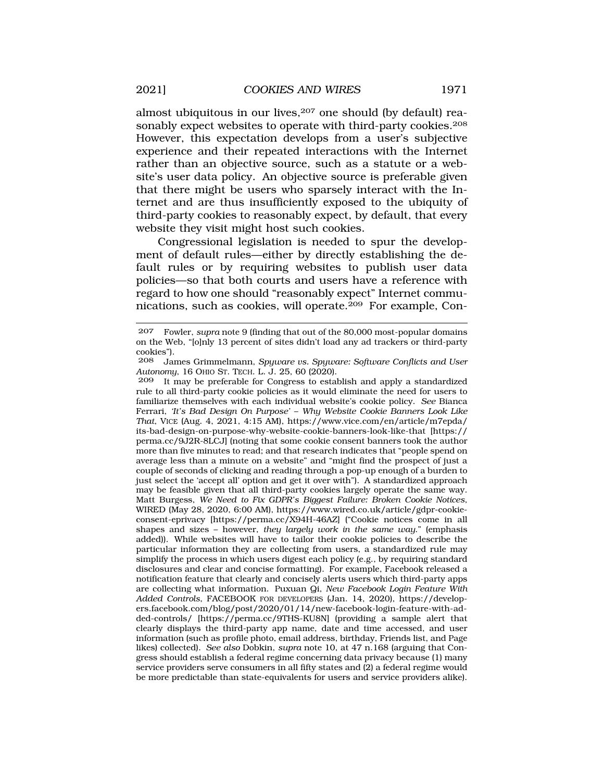almost ubiquitous in our lives, <sup>207</sup> one should (by default) reasonably expect websites to operate with third-party cookies.208 However, this expectation develops from a user's subjective experience and their repeated interactions with the Internet rather than an objective source, such as a statute or a website's user data policy. An objective source is preferable given that there might be users who sparsely interact with the Internet and are thus insufficiently exposed to the ubiquity of third-party cookies to reasonably expect, by default, that every website they visit might host such cookies.

Congressional legislation is needed to spur the development of default rules—either by directly establishing the default rules or by requiring websites to publish user data policies—so that both courts and users have a reference with regard to how one should "reasonably expect" Internet communications, such as cookies, will operate.209 For example, Con-

<sup>207</sup> Fowler, *supra* note 9 (finding that out of the 80,000 most-popular domains on the Web, "[o]nly 13 percent of sites didn't load any ad trackers or third-party cookies").

<sup>208</sup> James Grimmelmann, *Spyware vs. Spyware: Software Conflicts and User Autonomy*, 16 OHIO ST. TECH. L. J. 25, 60 (2020).

It may be preferable for Congress to establish and apply a standardized rule to all third-party cookie policies as it would eliminate the need for users to familiarize themselves with each individual website's cookie policy. *See* Bianca Ferrari, *'It's Bad Design On Purpose'* – *Why Website Cookie Banners Look Like That*, VICE (Aug. 4, 2021, 4:15 AM), [https://www.vice.com/en/article/m7epda/](https://www.vice.com/en/article/m7epda) its-bad-design-on-purpose-why-website-cookie-banners-look-like-that [https:// perma.cc/9J2R-8LCJ] (noting that some cookie consent banners took the author more than five minutes to read; and that research indicates that "people spend on average less than a minute on a website" and "might find the prospect of just a couple of seconds of clicking and reading through a pop-up enough of a burden to just select the 'accept all' option and get it over with"). A standardized approach may be feasible given that all third-party cookies largely operate the same way. Matt Burgess, *We Need to Fix GDPR's Biggest Failure: Broken Cookie Notices*, WIRED (May 28, 2020, 6:00 AM),<https://www.wired.co.uk/article/gdpr-cookie>consent-eprivacy [<https://perma.cc/X94H-46AZ>] ("Cookie notices come in all shapes and sizes – however, *they largely work in the same way*." (emphasis added)). While websites will have to tailor their cookie policies to describe the particular information they are collecting from users, a standardized rule may simplify the process in which users digest each policy (e.g., by requiring standard disclosures and clear and concise formatting). For example, Facebook released a notification feature that clearly and concisely alerts users which third-party apps are collecting what information. Puxuan Qi, *New Facebook Login Feature With Added Controls*, FACEBOOK FOR DEVELOPERS (Jan. 14, 2020), <https://develop>[ers.facebook.com/blog/post/2020/01/14/new-facebook-login-feature-with-ad](https://ers.facebook.com/blog/post/2020/01/14/new-facebook-login-feature-with-ad)ded-controls/ [\[https://perma.cc/9THS-KU8N\]](https://perma.cc/9THS-KU8N) (providing a sample alert that clearly displays the third-party app name, date and time accessed, and user information (such as profile photo, email address, birthday, Friends list, and Page likes) collected). *See also* Dobkin, *supra* note 10, at 47 n.168 (arguing that Congress should establish a federal regime concerning data privacy because (1) many service providers serve consumers in all fifty states and (2) a federal regime would be more predictable than state-equivalents for users and service providers alike).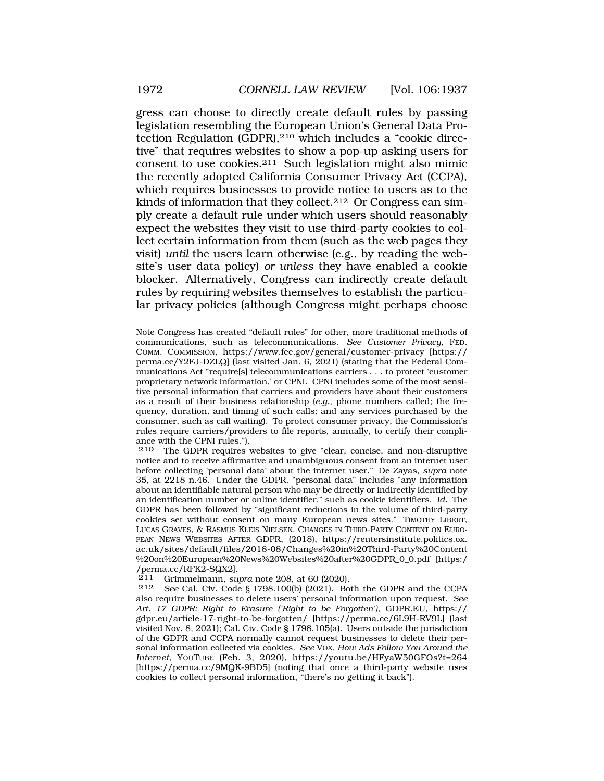gress can choose to directly create default rules by passing legislation resembling the European Union's General Data Protection Regulation (GDPR),<sup>210</sup> which includes a "cookie directive" that requires websites to show a pop-up asking users for consent to use cookies.211 Such legislation might also mimic the recently adopted California Consumer Privacy Act (CCPA), which requires businesses to provide notice to users as to the kinds of information that they collect.<sup>212</sup> Or Congress can simply create a default rule under which users should reasonably expect the websites they visit to use third-party cookies to collect certain information from them (such as the web pages they visit) *until* the users learn otherwise (e.g., by reading the website's user data policy) *or unless* they have enabled a cookie blocker. Alternatively, Congress can indirectly create default rules by requiring websites themselves to establish the particular privacy policies (although Congress might perhaps choose

Note Congress has created "default rules" for other, more traditional methods of communications, such as telecommunications. *See Customer Privacy*, FED. COMM. COMMISSION, <https://www.fcc.gov/general/customer-privacy> [https:// perma.cc/Y2FJ-DZLQ] (last visited Jan. 6, 2021) (stating that the Federal Communications Act "require[s] telecommunications carriers . . . to protect 'customer proprietary network information,' or CPNI. CPNI includes some of the most sensitive personal information that carriers and providers have about their customers as a result of their business relationship (*e.g.*, phone numbers called; the frequency, duration, and timing of such calls; and any services purchased by the consumer, such as call waiting). To protect consumer privacy, the Commission's rules require carriers/providers to file reports, annually, to certify their compliance with the CPNI rules.").

<sup>210</sup> The GDPR requires websites to give "clear, concise, and non-disruptive notice and to receive affirmative and unambiguous consent from an internet user before collecting 'personal data' about the internet user." De Zayas, *supra* note 35, at 2218 n.46. Under the GDPR, "personal data" includes "any information about an identifiable natural person who may be directly or indirectly identified by an identification number or online identifier," such as cookie identifiers. *Id.* The GDPR has been followed by "significant reductions in the volume of third-party cookies set without consent on many European news sites." TIMOTHY LIBERT, LUCAS GRAVES, & RASMUS KLEIS NIELSEN, CHANGES IN THIRD-PARTY CONTENT ON EURO-PEAN NEWS WEBSITES AFTER GDPR, (2018), <https://reutersinstitute.politics.ox>. ac.uk/sites/default/files/2018-08/Changes%20in%20Third-Party%20Content %20on%20European%20News%20Websites%20after%20GDPR\_0\_0.pdf [https:/ /perma.cc/RFK2-SQX2].<br>211 Grimmelmann su

<sup>211</sup> Grimmelmann, *supra* note 208, at 60 (2020).

<sup>212</sup> *See* Cal. Civ. Code § 1798.100(b) (2021). Both the GDPR and the CCPA also require businesses to delete users' personal information upon request. *See Art. 17 GDPR: Right to Erasure ('Right to be Forgotten')*, GDPR.EU, https:// gdpr.eu/article-17-right-to-be-forgotten/ [<https://perma.cc/6L9H-RV9L>] (last visited Nov. 8, 2021); Cal. Civ. Code § 1798.105(a)*.* Users outside the jurisdiction of the GDPR and CCPA normally cannot request businesses to delete their personal information collected via cookies. *See* VOX, *How Ads Follow You Around the Internet*, YOUTUBE (Feb. 3, 2020), <https://youtu.be/HFyaW50GFOs?t=264> [<https://perma.cc/9MQK-9BD5>] (noting that once a third-party website uses cookies to collect personal information, "there's no getting it back").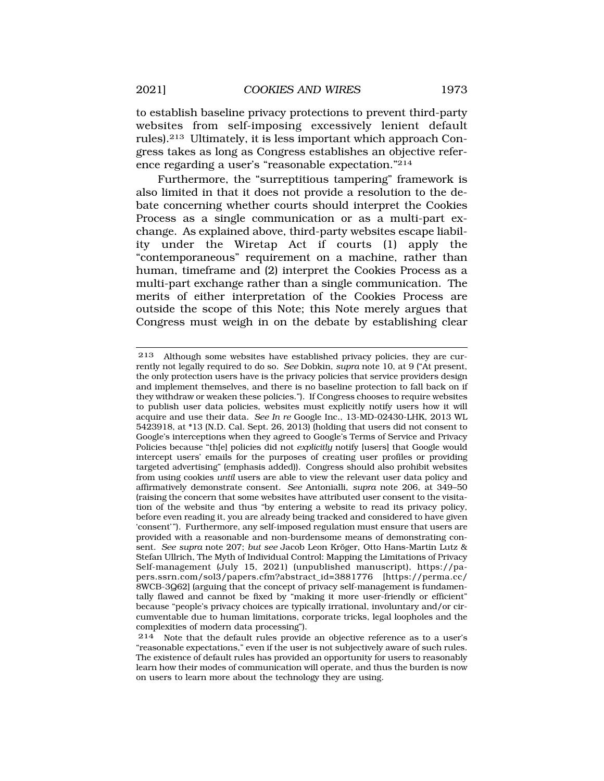to establish baseline privacy protections to prevent third-party websites from self-imposing excessively lenient default rules).213 Ultimately, it is less important which approach Congress takes as long as Congress establishes an objective reference regarding a user's "reasonable expectation."214

Furthermore, the "surreptitious tampering" framework is also limited in that it does not provide a resolution to the debate concerning whether courts should interpret the Cookies Process as a single communication or as a multi-part exchange. As explained above, third-party websites escape liability under the Wiretap Act if courts (1) apply the "contemporaneous" requirement on a machine, rather than human, timeframe and (2) interpret the Cookies Process as a multi-part exchange rather than a single communication. The merits of either interpretation of the Cookies Process are outside the scope of this Note; this Note merely argues that Congress must weigh in on the debate by establishing clear

<sup>213</sup> Although some websites have established privacy policies, they are currently not legally required to do so. *See* Dobkin, *supra* note 10, at 9 ("At present, the only protection users have is the privacy policies that service providers design and implement themselves, and there is no baseline protection to fall back on if they withdraw or weaken these policies."). If Congress chooses to require websites to publish user data policies, websites must explicitly notify users how it will acquire and use their data. *See In re* Google Inc., 13-MD-02430-LHK, 2013 WL 5423918, at \*13 (N.D. Cal. Sept. 26, 2013) (holding that users did not consent to Google's interceptions when they agreed to Google's Terms of Service and Privacy Policies because "th[e] policies did not *explicitly* notify [users] that Google would intercept users' emails for the purposes of creating user profiles or providing targeted advertising" (emphasis added)). Congress should also prohibit websites from using cookies *until* users are able to view the relevant user data policy and affirmatively demonstrate consent. *See* Antonialli, *supra* note 206, at 349–50 (raising the concern that some websites have attributed user consent to the visitation of the website and thus "by entering a website to read its privacy policy, before even reading it, you are already being tracked and considered to have given 'consent'"). Furthermore, any self-imposed regulation must ensure that users are provided with a reasonable and non-burdensome means of demonstrating consent. *See supra* note 207; *but see* Jacob Leon Kröger, Otto Hans-Martin Lutz & Stefan Ullrich, The Myth of Individual Control: Mapping the Limitations of Privacy Self-management (July 15, 2021) (unpublished manuscript), <https://pa>pers.ssrn.com/sol3/papers.cfm?abstract\_id=3881776 [<https://perma.cc>/ 8WCB-3Q62] (arguing that the concept of privacy self-management is fundamentally flawed and cannot be fixed by "making it more user-friendly or efficient" because "people's privacy choices are typically irrational, involuntary and/or circumventable due to human limitations, corporate tricks, legal loopholes and the complexities of modern data processing").

<sup>214</sup> Note that the default rules provide an objective reference as to a user's "reasonable expectations," even if the user is not subjectively aware of such rules. The existence of default rules has provided an opportunity for users to reasonably learn how their modes of communication will operate, and thus the burden is now on users to learn more about the technology they are using.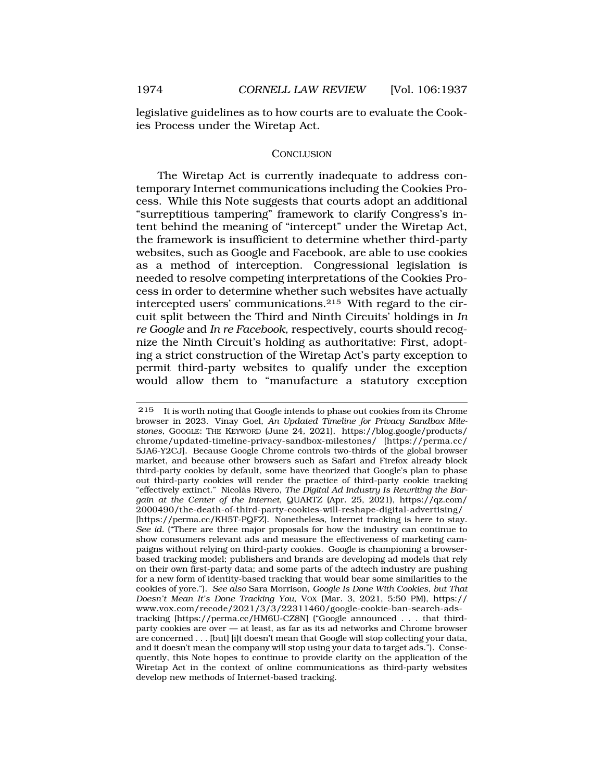legislative guidelines as to how courts are to evaluate the Cookies Process under the Wiretap Act.

# **CONCLUSION**

The Wiretap Act is currently inadequate to address contemporary Internet communications including the Cookies Process. While this Note suggests that courts adopt an additional "surreptitious tampering" framework to clarify Congress's intent behind the meaning of "intercept" under the Wiretap Act, the framework is insufficient to determine whether third-party websites, such as Google and Facebook, are able to use cookies as a method of interception. Congressional legislation is needed to resolve competing interpretations of the Cookies Process in order to determine whether such websites have actually intercepted users' communications.215 With regard to the circuit split between the Third and Ninth Circuits' holdings in *In re Google* and *In re Facebook*, respectively, courts should recognize the Ninth Circuit's holding as authoritative: First, adopting a strict construction of the Wiretap Act's party exception to permit third-party websites to qualify under the exception would allow them to "manufacture a statutory exception

<sup>215</sup> It is worth noting that Google intends to phase out cookies from its Chrome browser in 2023. Vinay Goel, *An Updated Timeline for Privacy Sandbox Milestones*, GOOGLE: THE KEYWORD (June 24, 2021), [https://blog.google/products/](https://blog.google/products) chrome/updated-timeline-privacy-sandbox-milestones/ [\[https://perma.cc/](https://perma.cc) 5JA6-Y2CJ]. Because Google Chrome controls two-thirds of the global browser market, and because other browsers such as Safari and Firefox already block third-party cookies by default, some have theorized that Google's plan to phase out third-party cookies will render the practice of third-party cookie tracking "effectively extinct." Nicolás Rivero, *The Digital Ad Industry Is Rewriting the Bargain at the Center of the Internet*, QUARTZ (Apr. 25, 2021), [https://qz.com/](https://qz.com) 2000490/the-death-of-third-party-cookies-will-reshape-digital-advertising/ [[https://perma.cc/KH5T-PQFZ\]](https://perma.cc/KH5T-PQFZ)*.* Nonetheless, Internet tracking is here to stay. *See id.* ("There are three major proposals for how the industry can continue to show consumers relevant ads and measure the effectiveness of marketing campaigns without relying on third-party cookies. Google is championing a browserbased tracking model; publishers and brands are developing ad models that rely on their own first-party data; and some parts of the adtech industry are pushing for a new form of identity-based tracking that would bear some similarities to the cookies of yore."). *See also* Sara Morrison, *Google Is Done With Cookies, but That Doesn't Mean It's Done Tracking You*, VOX (Mar. 3, 2021, 5:50 PM), https:// <www.vox.com/recode/2021/3/3/22311460/google-cookie-ban-search-ads>tracking [\[https://perma.cc/HM6U-CZ8N](https://perma.cc/HM6U-CZ8N)] ("Google announced . . . that thirdparty cookies are over — at least, as far as its ad networks and Chrome browser are concerned . . . [but] [i]t doesn't mean that Google will stop collecting your data, and it doesn't mean the company will stop using your data to target ads."). Consequently, this Note hopes to continue to provide clarity on the application of the Wiretap Act in the context of online communications as third-party websites develop new methods of Internet-based tracking.